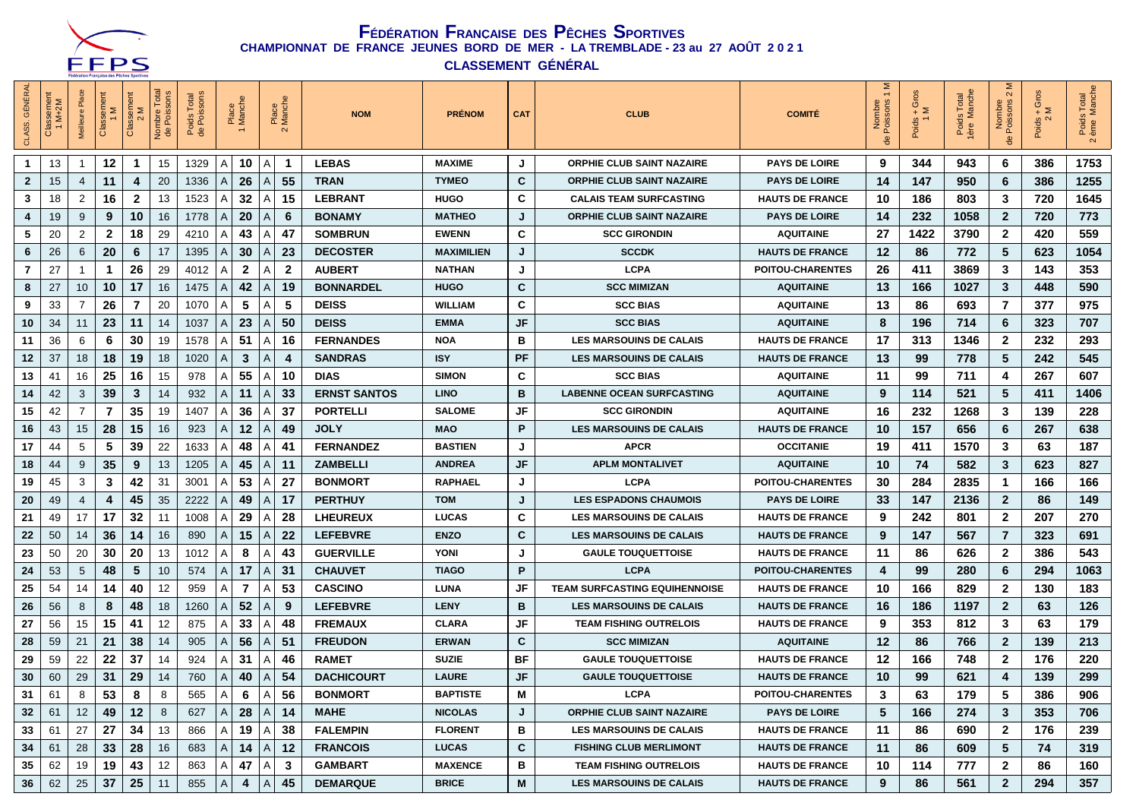

**CLASSEMENT GÉNÉRAL**

| <b>GÉNÉRAI</b><br>CLASS. | ISSemer<br>M+2M<br>$\frac{a}{C}$ |                | Classem<br>1 M | Classement<br>Σ | Total<br>Nombre 1<br>de Poiss | Poids Total<br>de Poissons |                          | Place<br>Manch |                 | Place<br>Manch | <b>NOM</b>          | <b>PRÉNOM</b>     | <b>CAT</b> | <b>CLUB</b>                          | <b>COMITÉ</b>           | Σ,<br>Nombre<br>Poissons<br>Nombr<br>응 | Ō<br>$+5$<br>Poids - | Poids Total<br>1ère Manche | Σ<br>$\sim$<br>Nombre<br>Poissons | ō<br>$+$ $\geq$<br>Poids - $\frac{2}{2}$ | s Total<br>Manche<br>Poids<br>eme  N<br>$\mathbf{\Omega}$ |
|--------------------------|----------------------------------|----------------|----------------|-----------------|-------------------------------|----------------------------|--------------------------|----------------|-----------------|----------------|---------------------|-------------------|------------|--------------------------------------|-------------------------|----------------------------------------|----------------------|----------------------------|-----------------------------------|------------------------------------------|-----------------------------------------------------------|
| $\mathbf 1$              | 13                               |                | 12             | 1               | 15                            | 1329                       | $\mathsf{A}$             | 10             | A               | -1             | <b>LEBAS</b>        | <b>MAXIME</b>     | J          | <b>ORPHIE CLUB SAINT NAZAIRE</b>     | <b>PAYS DE LOIRE</b>    | 9                                      | 344                  | 943                        | 6                                 | 386                                      | 1753                                                      |
| $\mathbf{2}$             | 15                               | $\overline{4}$ | 11             | 4               | 20                            | 1336                       | Α                        | 26             | A               | 55             | <b>TRAN</b>         | <b>TYMEO</b>      | C          | <b>ORPHIE CLUB SAINT NAZAIRE</b>     | <b>PAYS DE LOIRE</b>    | 14                                     | 147                  | 950                        | 6                                 | 386                                      | 1255                                                      |
| 3                        | 18                               | 2              | 16             | $\mathbf{2}$    | 13                            | 1523                       | Α                        | 32             | A               | 15             | <b>LEBRANT</b>      | <b>HUGO</b>       | C          | <b>CALAIS TEAM SURFCASTING</b>       | <b>HAUTS DE FRANCE</b>  | 10                                     | 186                  | 803                        | 3                                 | 720                                      | 1645                                                      |
| 4                        | 19                               | 9              | 9              | 10              | 16                            | 1778                       | A                        | 20             | A               | 6              | <b>BONAMY</b>       | <b>MATHEO</b>     | J          | <b>ORPHIE CLUB SAINT NAZAIRE</b>     | <b>PAYS DE LOIRE</b>    | 14                                     | 232                  | 1058                       | $\overline{2}$                    | 720                                      | 773                                                       |
| 5                        | 20                               | 2              | $\mathbf{2}$   | 18              | 29                            | 4210                       | A                        | 43             | A               | 47             | <b>SOMBRUN</b>      | <b>EWENN</b>      | C          | <b>SCC GIRONDIN</b>                  | <b>AQUITAINE</b>        | 27                                     | 1422                 | 3790                       | $\overline{2}$                    | 420                                      | 559                                                       |
| 6                        | 26                               | 6              | 20             | 6               | 17                            | 1395                       | A                        | 30             | А               | 23             | <b>DECOSTER</b>     | <b>MAXIMILIEN</b> | J          | <b>SCCDK</b>                         | <b>HAUTS DE FRANCE</b>  | 12                                     | 86                   | 772                        | 5                                 | 623                                      | 1054                                                      |
| 7                        | 27                               |                | $\mathbf 1$    | 26              | 29                            | 4012                       | Α                        | $\mathbf{2}$   | Α               | $\mathbf{2}$   | <b>AUBERT</b>       | <b>NATHAN</b>     | J          | <b>LCPA</b>                          | <b>POITOU-CHARENTES</b> | 26                                     | 411                  | 3869                       | 3                                 | 143                                      | 353                                                       |
| 8                        | 27                               | 10             | 10             | 17              | 16                            | 1475                       | Α                        | 42             | A               | 19             | <b>BONNARDEL</b>    | <b>HUGO</b>       | C          | <b>SCC MIMIZAN</b>                   | <b>AQUITAINE</b>        | 13                                     | 166                  | 1027                       | 3                                 | 448                                      | 590                                                       |
| 9                        | 33                               |                | 26             | 7               | 20                            | 1070                       | Α                        | 5              | Α               | 5              | <b>DEISS</b>        | <b>WILLIAM</b>    | C          | <b>SCC BIAS</b>                      | <b>AQUITAINE</b>        | 13                                     | 86                   | 693                        | 7                                 | 377                                      | 975                                                       |
| 10                       | 34                               | 11             | 23             | 11              | 14                            | 1037                       | A                        | 23             | A               | 50             | <b>DEISS</b>        | <b>EMMA</b>       | JF         | <b>SCC BIAS</b>                      | <b>AQUITAINE</b>        | 8                                      | 196                  | 714                        | 6                                 | 323                                      | 707                                                       |
| 11                       | 36                               | 6              | 6              | 30              | 19                            | 1578                       | Α                        | 51             | A               | 16             | <b>FERNANDES</b>    | <b>NOA</b>        | в          | <b>LES MARSOUINS DE CALAIS</b>       | <b>HAUTS DE FRANCE</b>  | 17                                     | 313                  | 1346                       | $\mathbf{2}$                      | 232                                      | 293                                                       |
| $12 \,$                  | 37                               | 18             | 18             | 19              | 18                            | 1020                       | A                        | 3              | A               | 4              | <b>SANDRAS</b>      | <b>ISY</b>        | PF         | <b>LES MARSOUINS DE CALAIS</b>       | <b>HAUTS DE FRANCE</b>  | 13                                     | 99                   | 778                        | 5                                 | 242                                      | 545                                                       |
| 13                       | 41                               | 16             | 25             | 16              | 15                            | 978                        | Α                        | 55             | Α               | 10             | <b>DIAS</b>         | <b>SIMON</b>      | C          | <b>SCC BIAS</b>                      | <b>AQUITAINE</b>        | 11                                     | 99                   | 711                        | 4                                 | 267                                      | 607                                                       |
| 14                       | 42                               | 3              | 39             | 3               | 14                            | 932                        | Α                        | 11             | A               | 33             | <b>ERNST SANTOS</b> | <b>LINO</b>       | В          | <b>LABENNE OCEAN SURFCASTING</b>     | <b>AQUITAINE</b>        | 9                                      | 114                  | 521                        | 5                                 | 411                                      | 1406                                                      |
| 15                       | 42                               | 7              | $\overline{7}$ | 35              | 19                            | 1407                       | A                        | 36             | A               | 37             | <b>PORTELLI</b>     | <b>SALOME</b>     | JF         | <b>SCC GIRONDIN</b>                  | <b>AQUITAINE</b>        | 16                                     | 232                  | 1268                       | 3                                 | 139                                      | 228                                                       |
| 16                       | 43                               | 15             | 28             | 15              | 16                            | 923                        | A                        | 12             | A               | 49             | <b>JOLY</b>         | <b>MAO</b>        | P          | <b>LES MARSOUINS DE CALAIS</b>       | <b>HAUTS DE FRANCE</b>  | 10                                     | 157                  | 656                        | 6                                 | 267                                      | 638                                                       |
| 17                       | 44                               | 5              | 5              | 39              | 22                            | 1633                       | A                        | 48             | A               | 41             | <b>FERNANDEZ</b>    | <b>BASTIEN</b>    | J          | <b>APCR</b>                          | <b>OCCITANIE</b>        | 19                                     | 411                  | 1570                       | 3                                 | 63                                       | 187                                                       |
| 18                       | 44                               | 9              | 35             | 9               | 13                            | 1205                       | A                        | 45             | A               | 11             | <b>ZAMBELLI</b>     | <b>ANDREA</b>     | JF         | <b>APLM MONTALIVET</b>               | <b>AQUITAINE</b>        | 10                                     | 74                   | 582                        | 3                                 | 623                                      | 827                                                       |
| 19                       | 45                               | 3              | 3              | 42              | 31                            | 3001                       | Α                        | 53             | А               | 27             | <b>BONMORT</b>      | <b>RAPHAEL</b>    | J          | <b>LCPA</b>                          | <b>POITOU-CHARENTES</b> | 30                                     | 284                  | 2835                       | $\mathbf 1$                       | 166                                      | 166                                                       |
| 20                       | 49                               | $\overline{4}$ | 4              | 45              | 35                            | 2222                       | A                        | 49             | A               | 17             | <b>PERTHUY</b>      | <b>TOM</b>        | J          | <b>LES ESPADONS CHAUMOIS</b>         | <b>PAYS DE LOIRE</b>    | 33                                     | 147                  | 2136                       | $\overline{2}$                    | 86                                       | 149                                                       |
| 21                       | 49                               | 17             | 17             | 32              | 11                            | 1008                       | A                        | 29             | A               | 28             | <b>LHEUREUX</b>     | <b>LUCAS</b>      | C          | <b>LES MARSOUINS DE CALAIS</b>       | <b>HAUTS DE FRANCE</b>  | 9                                      | 242                  | 801                        | $\mathbf{2}$                      | 207                                      | 270                                                       |
| 22                       | 50                               | 14             | 36             | 14              | 16                            | 890                        | A                        | 15             | А               | 22             | <b>LEFEBVRE</b>     | <b>ENZO</b>       | C          | <b>LES MARSOUINS DE CALAIS</b>       | <b>HAUTS DE FRANCE</b>  | 9                                      | 147                  | 567                        | $\overline{7}$                    | 323                                      | 691                                                       |
| 23                       | 50                               | 20             | 30             | 20              | 13                            | 1012                       | Α                        | 8              | A               | 43             | <b>GUERVILLE</b>    | YONI              | J          | <b>GAULE TOUQUETTOISE</b>            | <b>HAUTS DE FRANCE</b>  | 11                                     | 86                   | 626                        | $\mathbf{2}$                      | 386                                      | 543                                                       |
| 24                       | 53                               | 5              | 48             | 5               | 10                            | 574                        | Α                        | 17             | A               | 31             | <b>CHAUVET</b>      | <b>TIAGO</b>      | P          | <b>LCPA</b>                          | <b>POITOU-CHARENTES</b> | 4                                      | 99                   | 280                        | 6                                 | 294                                      | 1063                                                      |
| 25                       | 54                               | 14             | 14             | 40              | 12                            | 959                        | Α                        | $\overline{7}$ | A               | 53             | <b>CASCINO</b>      | LUNA              | JF         | <b>TEAM SURFCASTING EQUIHENNOISE</b> | <b>HAUTS DE FRANCE</b>  | 10                                     | 166                  | 829                        | $\mathbf{2}$                      | 130                                      | 183                                                       |
| 26                       | 56                               | 8              | 8              | 48              | 18                            | 1260                       | A                        | 52             | A               | 9              | <b>LEFEBVRE</b>     | <b>LENY</b>       | В          | <b>LES MARSOUINS DE CALAIS</b>       | <b>HAUTS DE FRANCE</b>  | 16                                     | 186                  | 1197                       | $\mathbf{2}$                      | 63                                       | 126                                                       |
| 27                       | 56                               | 15             | 15             | 41              | 12                            | 875                        | A                        | 33             | A               | 48             | <b>FREMAUX</b>      | <b>CLARA</b>      | JF         | <b>TEAM FISHING OUTRELOIS</b>        | <b>HAUTS DE FRANCE</b>  | 9                                      | 353                  | 812                        | 3                                 | 63                                       | 179                                                       |
| 28                       | 59                               | 21             | 21             | 38              | 14                            | 905                        | A                        | 56             | А               | 51             | <b>FREUDON</b>      | <b>ERWAN</b>      | C          | <b>SCC MIMIZAN</b>                   | <b>AQUITAINE</b>        | 12                                     | 86                   | 766                        | $\mathbf{2}$                      | 139                                      | 213                                                       |
| 29                       | 59                               | 22             | 22             | 37              | 14                            | 924                        | A                        | 31             | A               | 46             | <b>RAMET</b>        | <b>SUZIE</b>      | ВF         | <b>GAULE TOUQUETTOISE</b>            | <b>HAUTS DE FRANCE</b>  | 12                                     | 166                  | 748                        | 2                                 | 176                                      | 220                                                       |
| 30                       | 60                               | 29             | 31             | 29              | 14                            | 760                        | A                        | 40             | А               | 54             | <b>DACHICOURT</b>   | <b>LAURE</b>      | JF         | <b>GAULE TOUQUETTOISE</b>            | <b>HAUTS DE FRANCE</b>  | 10                                     | 99                   | 621                        | 4                                 | 139                                      | 299                                                       |
| 31                       | 61                               | 8              | 53             | 8               | 8                             | 565                        | $\mathsf{I}(\mathsf{A})$ | 6              | $\mid$ A $\mid$ | 56             | <b>BONMORT</b>      | <b>BAPTISTE</b>   | М          | LCPA                                 | POITOU-CHARENTES        | 3                                      | 63                   | 179                        | 5                                 | 386                                      | 906                                                       |
| 32                       | 61                               | 12             | 49             | 12              | 8                             | 627                        | A                        | 28  A          |                 | 14             | <b>MAHE</b>         | <b>NICOLAS</b>    | J          | <b>ORPHIE CLUB SAINT NAZAIRE</b>     | <b>PAYS DE LOIRE</b>    | 5                                      | 166                  | 274                        | 3                                 | 353                                      | 706                                                       |
| 33                       | 61                               | 27             | 27             | 34              | 13                            | 866                        | A                        | 19             | A               | 38             | <b>FALEMPIN</b>     | <b>FLORENT</b>    | в          | <b>LES MARSOUINS DE CALAIS</b>       | <b>HAUTS DE FRANCE</b>  | 11                                     | 86                   | 690                        | $\mathbf{2}$                      | 176                                      | 239                                                       |
| 34                       | 61                               | 28             | 33             | 28              | 16                            | 683                        | ΙA.                      | 14             | $\mathsf{A}$    | 12             | <b>FRANCOIS</b>     | <b>LUCAS</b>      | C          | <b>FISHING CLUB MERLIMONT</b>        | <b>HAUTS DE FRANCE</b>  | 11                                     | 86                   | 609                        | 5                                 | 74                                       | 319                                                       |
| 35                       | 62                               | 19             | 19             | 43              | 12                            | 863                        | A                        | 47             | $\mathsf{A}$    | 3              | <b>GAMBART</b>      | <b>MAXENCE</b>    | в          | <b>TEAM FISHING OUTRELOIS</b>        | <b>HAUTS DE FRANCE</b>  | 10                                     | 114                  | 777                        | $\mathbf{2}$                      | 86                                       | 160                                                       |
| 36                       | 62                               | 25             | 37             | 25              | 11                            | 855                        | A                        | $\overline{4}$ | $\mathsf{A}$    | 45             | <b>DEMARQUE</b>     | <b>BRICE</b>      | M          | <b>LES MARSOUINS DE CALAIS</b>       | <b>HAUTS DE FRANCE</b>  | 9                                      | 86                   | 561                        | $\overline{2}$                    | 294                                      | 357                                                       |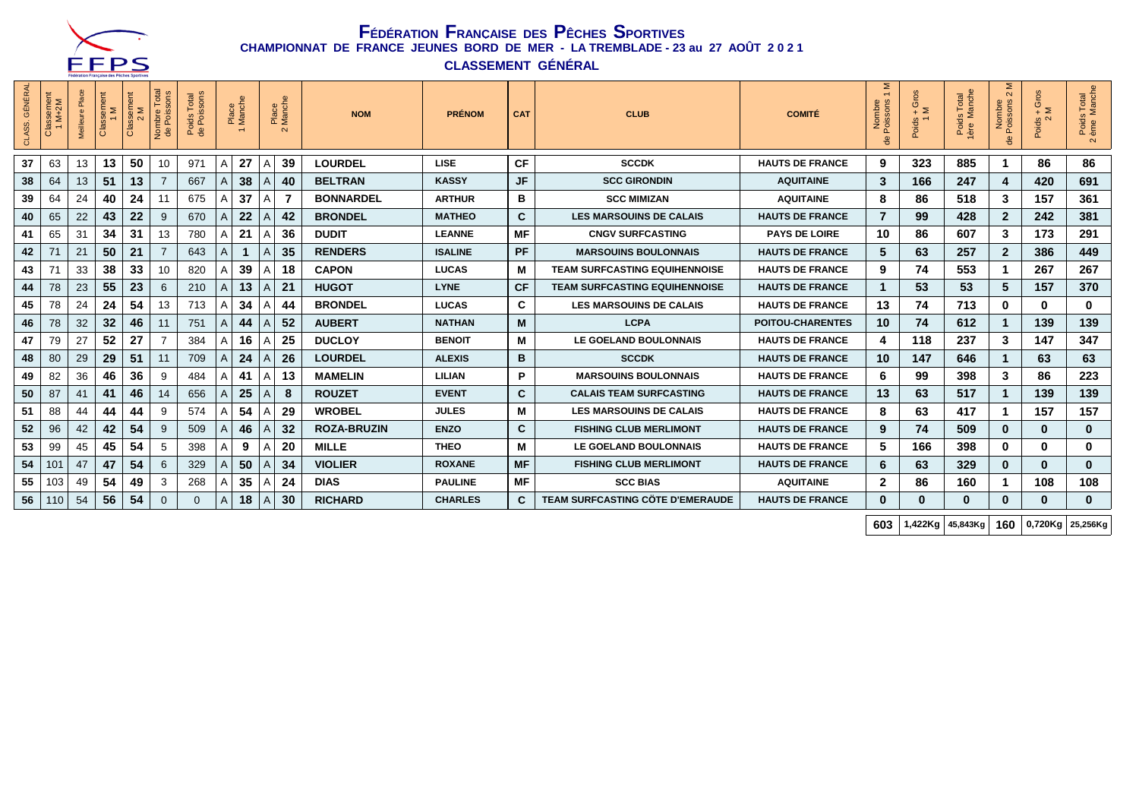

**CLASSEMENT GÉNÉRAL**

| <b>GÉNÉRAL</b><br>CLASS. | Issement<br>M+2M<br>$\overline{\omega}$<br>$\circ$ | 三  | Classement<br>1M | Classement<br>Σ<br>$\sim$ | Total<br>sons<br>Nombre<br>de Poiss | Poids Total<br>de Poissons |                | Place<br>Manche |   | Place<br>Manche<br>$\sim$ | <b>NOM</b>         | <b>PRÉNOM</b>  | <b>CAT</b>   | <b>CLUB</b>                             | <b>COMITÉ</b>           | Σ<br>$\overline{ }$<br>$\omega$ $\omega$<br>Poisson<br>Nombr<br>용 | ő<br>$\overline{\sigma}$<br>$\frac{6}{4}$ $\geq$<br>Poids<br>1 | Poids Total<br>1ère Manche | $\sim$<br>Nombre<br>Poissons<br>Pois | ő<br>ō<br>$\geq$<br>Poids -<br>2 | s Total<br>Manche<br>Poids<br>ème N<br>$\sim$ |
|--------------------------|----------------------------------------------------|----|------------------|---------------------------|-------------------------------------|----------------------------|----------------|-----------------|---|---------------------------|--------------------|----------------|--------------|-----------------------------------------|-------------------------|-------------------------------------------------------------------|----------------------------------------------------------------|----------------------------|--------------------------------------|----------------------------------|-----------------------------------------------|
| 37                       | 63                                                 | 13 | 13               | 50                        | 10                                  | 971                        | A              | 27              | Α | 39                        | <b>LOURDEL</b>     | <b>LISE</b>    | CF           | <b>SCCDK</b>                            | <b>HAUTS DE FRANCE</b>  | 9                                                                 | 323                                                            | 885                        |                                      | 86                               | 86                                            |
| 38                       | 64                                                 | 13 | 51               | 13                        |                                     | 667                        | Α              | 38              |   | 40                        | <b>BELTRAN</b>     | <b>KASSY</b>   | JF           | <b>SCC GIRONDIN</b>                     | <b>AQUITAINE</b>        | 3                                                                 | 166                                                            | 247                        | 4                                    | 420                              | 691                                           |
| 39                       | 64                                                 | 24 | 40               | 24                        | 11                                  | 675                        | Α              | 37              | Α |                           | <b>BONNARDEL</b>   | <b>ARTHUR</b>  | в            | <b>SCC MIMIZAN</b>                      | <b>AQUITAINE</b>        | 8                                                                 | 86                                                             | 518                        | 3                                    | 157                              | 361                                           |
| 40                       | 65                                                 | 22 | 43               | 22                        | 9                                   | 670                        | A              | 22              | А | 42                        | <b>BRONDEL</b>     | <b>MATHEO</b>  | $\mathbf{c}$ | <b>LES MARSOUINS DE CALAIS</b>          | <b>HAUTS DE FRANCE</b>  | $\overline{7}$                                                    | 99                                                             | 428                        | $\mathbf{2}$                         | 242                              | 381                                           |
| 41                       | 65                                                 | 31 | 34               | 31                        | 13                                  | 780                        | Α              | 21              | A | 36                        | <b>DUDIT</b>       | <b>LEANNE</b>  | MF           | <b>CNGV SURFCASTING</b>                 | <b>PAYS DE LOIRE</b>    | 10                                                                | 86                                                             | 607                        | 3                                    | 173                              | 291                                           |
| 42                       | 71                                                 | 21 | 50               | 21                        | $\overline{7}$                      | 643                        | A              |                 | А | 35                        | <b>RENDERS</b>     | <b>ISALINE</b> | <b>PF</b>    | <b>MARSOUINS BOULONNAIS</b>             | <b>HAUTS DE FRANCE</b>  | 5                                                                 | 63                                                             | 257                        | $\mathbf{2}$                         | 386                              | 449                                           |
| 43                       | 71                                                 | 33 | 38               | 33                        | 10                                  | 820                        | A              | 39              |   | 18                        | <b>CAPON</b>       | <b>LUCAS</b>   | М            | <b>TEAM SURFCASTING EQUIHENNOISE</b>    | <b>HAUTS DE FRANCE</b>  | 9                                                                 | 74                                                             | 553                        |                                      | 267                              | 267                                           |
| 44                       | 78                                                 | 23 | 55               | 23                        | 6                                   | 210                        | A              | 13              |   | 21                        | <b>HUGOT</b>       | <b>LYNE</b>    | <b>CF</b>    | <b>TEAM SURFCASTING EQUIHENNOISE</b>    | <b>HAUTS DE FRANCE</b>  |                                                                   | 53                                                             | 53                         | 5                                    | 157                              | 370                                           |
| 45                       | 78                                                 | 24 | 24               | 54                        | 13                                  | 713                        | A              | 34              |   | 44                        | <b>BRONDEL</b>     | <b>LUCAS</b>   | C            | <b>LES MARSOUINS DE CALAIS</b>          | <b>HAUTS DE FRANCE</b>  | 13                                                                | 74                                                             | 713                        | 0                                    | $\bf{0}$                         | $\bf{0}$                                      |
| 46                       | 78                                                 | 32 | 32               | 46                        | 11                                  | 751                        | A              | 44              |   | 52                        | <b>AUBERT</b>      | <b>NATHAN</b>  | M            | <b>LCPA</b>                             | <b>POITOU-CHARENTES</b> | 10                                                                | 74                                                             | 612                        |                                      | 139                              | 139                                           |
| 47                       | 79                                                 | 27 | 52               | 27                        | 7                                   | 384                        | A              | 16              |   | 25                        | <b>DUCLOY</b>      | <b>BENOIT</b>  | М            | LE GOELAND BOULONNAIS                   | <b>HAUTS DE FRANCE</b>  | 4                                                                 | 118                                                            | 237                        | 3                                    | 147                              | 347                                           |
| 48                       | 80                                                 | 29 | 29               | 51                        | 11                                  | 709                        | Α              | 24              | А | 26                        | <b>LOURDEL</b>     | <b>ALEXIS</b>  | в            | <b>SCCDK</b>                            | <b>HAUTS DE FRANCE</b>  | 10                                                                | 147                                                            | 646                        |                                      | 63                               | 63                                            |
| 49                       | 82                                                 | 36 | 46               | 36                        | 9                                   | 484                        |                | 41              | A | 13                        | <b>MAMELIN</b>     | <b>LILIAN</b>  | P            | <b>MARSOUINS BOULONNAIS</b>             | <b>HAUTS DE FRANCE</b>  | 6                                                                 | 99                                                             | 398                        | 3                                    | 86                               | 223                                           |
| 50                       | 87                                                 | 41 | 41               | 46                        | 14                                  | 656                        |                | 25              |   |                           | <b>ROUZET</b>      | <b>EVENT</b>   | C            | <b>CALAIS TEAM SURFCASTING</b>          | <b>HAUTS DE FRANCE</b>  | 13                                                                | 63                                                             | 517                        |                                      | 139                              | 139                                           |
| 51                       | 88                                                 | 44 | 44               | 44                        | 9                                   | 574                        |                | 54              |   | 29                        | <b>WROBEL</b>      | <b>JULES</b>   | М            | <b>LES MARSOUINS DE CALAIS</b>          | <b>HAUTS DE FRANCE</b>  | 8                                                                 | 63                                                             | 417                        |                                      | 157                              | 157                                           |
| 52                       | 96                                                 | 42 | 42               | 54                        | 9                                   | 509                        |                | 46              |   | 32                        | <b>ROZA-BRUZIN</b> | <b>ENZO</b>    | C            | <b>FISHING CLUB MERLIMONT</b>           | <b>HAUTS DE FRANCE</b>  | 9                                                                 | 74                                                             | 509                        | $\bf{0}$                             | $\bf{0}$                         | $\bf{0}$                                      |
| 53                       | 99                                                 | 45 | 45               | 54                        | 5                                   | 398                        | A              | 9               |   | 20                        | <b>MILLE</b>       | <b>THEO</b>    | М            | LE GOELAND BOULONNAIS                   | <b>HAUTS DE FRANCE</b>  | 5                                                                 | 166                                                            | 398                        | 0                                    | $\bf{0}$                         | $\mathbf 0$                                   |
| 54                       | 101                                                | 47 | 47               | 54                        | 6                                   | 329                        | Α              | 50              |   | 34                        | <b>VIOLIER</b>     | <b>ROXANE</b>  | <b>MF</b>    | <b>FISHING CLUB MERLIMONT</b>           | <b>HAUTS DE FRANCE</b>  | 6                                                                 | 63                                                             | 329                        | $\bf{0}$                             | $\bf{0}$                         | $\bf{0}$                                      |
| 55                       | 103                                                | 49 | 54               | 49                        | 3                                   | 268                        | A              | 35              |   | 24                        | <b>DIAS</b>        | <b>PAULINE</b> | <b>MF</b>    | <b>SCC BIAS</b>                         | <b>AQUITAINE</b>        | $\overline{2}$                                                    | 86                                                             | 160                        | 1                                    | 108                              | 108                                           |
| 56                       | 110                                                | 54 | 56               | 54                        | $\mathbf{0}$                        | $\Omega$                   | $\overline{A}$ | 18              |   | 30                        | <b>RICHARD</b>     | <b>CHARLES</b> | C            | <b>TEAM SURFCASTING CÖTE D'EMERAUDE</b> | <b>HAUTS DE FRANCE</b>  | $\bf{0}$                                                          |                                                                | 0                          | $\bf{0}$                             | $\bf{0}$                         | $\mathbf{0}$                                  |

**603 1,422Kg 45,843Kg 160 0,720Kg 25,256Kg**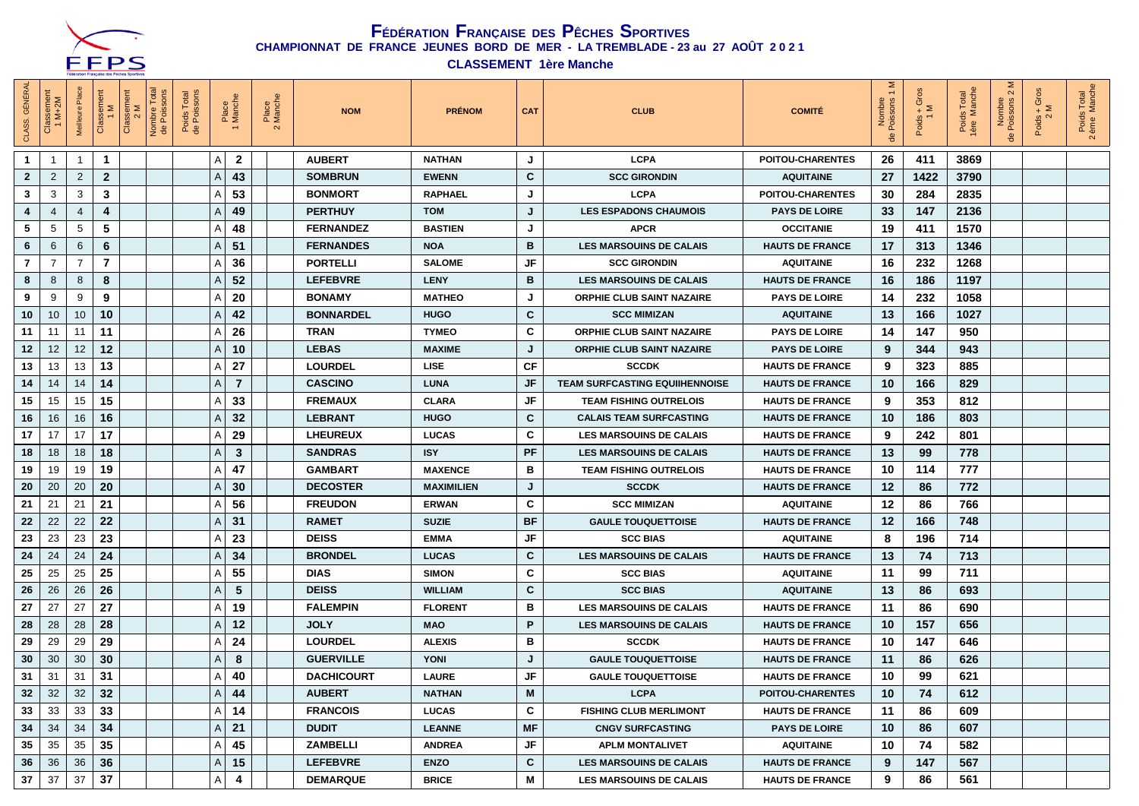

**CLASSEMENT 1ère Manche**

| <b>GÉNÉRAL</b><br>CLASS. | :lassement<br>1 M+2M | 룹<br>Meilleure | Classement<br>1 M | Classeme<br>2 M | Nombre Total<br>de Poissons | Poids Total<br>de Poissons |   | Place<br>Manche | Place<br>Manch<br>$\mathbf{\Omega}$ | <b>NOM</b>        | <b>PRÉNOM</b>     | <b>CAT</b> | <b>CLUB</b>                           | <b>COMITÉ</b>           | Σ<br>Nombre<br>Poissons | $\overline{\mathcal{O}}$<br>$\frac{1}{2}$ | Poids Total<br>1ère Manche | $\sim$<br>Nombre<br>de Poissons 2 | $+$ Gros<br>Poids -<br>2 | Poids Total<br>2 ème Manche |
|--------------------------|----------------------|----------------|-------------------|-----------------|-----------------------------|----------------------------|---|-----------------|-------------------------------------|-------------------|-------------------|------------|---------------------------------------|-------------------------|-------------------------|-------------------------------------------|----------------------------|-----------------------------------|--------------------------|-----------------------------|
| -1                       | -1                   | -1             | 1                 |                 |                             |                            | Α | $\overline{2}$  |                                     | <b>AUBERT</b>     | <b>NATHAN</b>     | J          | <b>LCPA</b>                           | <b>POITOU-CHARENTES</b> | 26                      | 411                                       | 3869                       |                                   |                          |                             |
| $\mathbf{2}$             | $\overline{2}$       | $\overline{2}$ | $\overline{2}$    |                 |                             |                            | Α | 43              |                                     | <b>SOMBRUN</b>    | <b>EWENN</b>      | C          | <b>SCC GIRONDIN</b>                   | <b>AQUITAINE</b>        | 27                      | 1422                                      | 3790                       |                                   |                          |                             |
| 3                        | 3                    | 3              | 3                 |                 |                             |                            | Α | 53              |                                     | <b>BONMORT</b>    | <b>RAPHAEL</b>    | J          | <b>LCPA</b>                           | <b>POITOU-CHARENTES</b> | 30                      | 284                                       | 2835                       |                                   |                          |                             |
| 4                        | 4                    | $\overline{4}$ | 4                 |                 |                             |                            | Α | 49              |                                     | <b>PERTHUY</b>    | <b>TOM</b>        | J          | <b>LES ESPADONS CHAUMOIS</b>          | <b>PAYS DE LOIRE</b>    | 33                      | 147                                       | 2136                       |                                   |                          |                             |
| 5                        | 5                    | 5              | 5                 |                 |                             |                            | Α | 48              |                                     | <b>FERNANDEZ</b>  | <b>BASTIEN</b>    | J          | <b>APCR</b>                           | <b>OCCITANIE</b>        | 19                      | 411                                       | 1570                       |                                   |                          |                             |
| 6                        | 6                    | 6              | 6                 |                 |                             |                            | A | 51              |                                     | <b>FERNANDES</b>  | <b>NOA</b>        | В          | <b>LES MARSOUINS DE CALAIS</b>        | <b>HAUTS DE FRANCE</b>  | 17                      | 313                                       | 1346                       |                                   |                          |                             |
| $\overline{7}$           | $\overline{7}$       | 7              | $\overline{7}$    |                 |                             |                            | Α | 36              |                                     | <b>PORTELLI</b>   | <b>SALOME</b>     | JF         | <b>SCC GIRONDIN</b>                   | <b>AQUITAINE</b>        | 16                      | 232                                       | 1268                       |                                   |                          |                             |
| 8                        | 8                    | 8              | 8                 |                 |                             |                            | Α | 52              |                                     | <b>LEFEBVRE</b>   | <b>LENY</b>       | В          | <b>LES MARSOUINS DE CALAIS</b>        | <b>HAUTS DE FRANCE</b>  | 16                      | 186                                       | 1197                       |                                   |                          |                             |
| 9                        | 9                    | 9              | 9                 |                 |                             |                            | Α | 20              |                                     | <b>BONAMY</b>     | <b>MATHEO</b>     | J          | <b>ORPHIE CLUB SAINT NAZAIRE</b>      | <b>PAYS DE LOIRE</b>    | 14                      | 232                                       | 1058                       |                                   |                          |                             |
| 10                       | 10                   | 10             | 10                |                 |                             |                            | Α | 42              |                                     | <b>BONNARDEL</b>  | <b>HUGO</b>       | C          | <b>SCC MIMIZAN</b>                    | <b>AQUITAINE</b>        | 13                      | 166                                       | 1027                       |                                   |                          |                             |
| 11                       | 11                   | 11             | 11                |                 |                             |                            | Α | 26              |                                     | <b>TRAN</b>       | <b>TYMEO</b>      | C          | <b>ORPHIE CLUB SAINT NAZAIRE</b>      | <b>PAYS DE LOIRE</b>    | 14                      | 147                                       | 950                        |                                   |                          |                             |
| 12                       | 12                   | 12             | 12                |                 |                             |                            | A | 10              |                                     | <b>LEBAS</b>      | <b>MAXIME</b>     | J          | <b>ORPHIE CLUB SAINT NAZAIRE</b>      | <b>PAYS DE LOIRE</b>    | 9                       | 344                                       | 943                        |                                   |                          |                             |
| 13                       | 13                   | 13             | 13                |                 |                             |                            | Α | 27              |                                     | <b>LOURDEL</b>    | <b>LISE</b>       | СF         | <b>SCCDK</b>                          | <b>HAUTS DE FRANCE</b>  | 9                       | 323                                       | 885                        |                                   |                          |                             |
| 14                       | 14                   | 14             | 14                |                 |                             |                            | A | $\overline{7}$  |                                     | <b>CASCINO</b>    | <b>LUNA</b>       | JF         | <b>TEAM SURFCASTING EQUIIHENNOISE</b> | <b>HAUTS DE FRANCE</b>  | 10                      | 166                                       | 829                        |                                   |                          |                             |
| 15                       | 15                   | 15             | 15                |                 |                             |                            | A | 33              |                                     | <b>FREMAUX</b>    | <b>CLARA</b>      | JF         | <b>TEAM FISHING OUTRELOIS</b>         | <b>HAUTS DE FRANCE</b>  | 9                       | 353                                       | 812                        |                                   |                          |                             |
| 16                       | 16                   | 16             | 16                |                 |                             |                            | A | 32              |                                     | <b>LEBRANT</b>    | <b>HUGO</b>       | C          | <b>CALAIS TEAM SURFCASTING</b>        | <b>HAUTS DE FRANCE</b>  | 10                      | 186                                       | 803                        |                                   |                          |                             |
| 17                       | 17                   | 17             | 17                |                 |                             |                            | A | 29              |                                     | <b>LHEUREUX</b>   | <b>LUCAS</b>      | C          | <b>LES MARSOUINS DE CALAIS</b>        | <b>HAUTS DE FRANCE</b>  | 9                       | 242                                       | 801                        |                                   |                          |                             |
| 18                       | 18                   | 18             | 18                |                 |                             |                            | Α | 3               |                                     | <b>SANDRAS</b>    | <b>ISY</b>        | PF         | <b>LES MARSOUINS DE CALAIS</b>        | <b>HAUTS DE FRANCE</b>  | 13                      | 99                                        | 778                        |                                   |                          |                             |
| 19                       | 19                   | 19             | 19                |                 |                             |                            | Α | 47              |                                     | <b>GAMBART</b>    | <b>MAXENCE</b>    | в          | <b>TEAM FISHING OUTRELOIS</b>         | <b>HAUTS DE FRANCE</b>  | 10                      | 114                                       | 777                        |                                   |                          |                             |
| 20                       | 20                   | 20             | 20                |                 |                             |                            | Α | 30              |                                     | <b>DECOSTER</b>   | <b>MAXIMILIEN</b> | J          | <b>SCCDK</b>                          | <b>HAUTS DE FRANCE</b>  | 12                      | 86                                        | 772                        |                                   |                          |                             |
| 21                       | 21                   | 21             | 21                |                 |                             |                            | A | 56              |                                     | <b>FREUDON</b>    | <b>ERWAN</b>      | C          | <b>SCC MIMIZAN</b>                    | <b>AQUITAINE</b>        | 12                      | 86                                        | 766                        |                                   |                          |                             |
| 22                       | 22                   | 22             | 22                |                 |                             |                            | Α | 31              |                                     | <b>RAMET</b>      | <b>SUZIE</b>      | <b>BF</b>  | <b>GAULE TOUQUETTOISE</b>             | <b>HAUTS DE FRANCE</b>  | 12                      | 166                                       | 748                        |                                   |                          |                             |
| 23                       | 23                   | 23             | 23                |                 |                             |                            | Α | 23              |                                     | <b>DEISS</b>      | <b>EMMA</b>       | JF         | <b>SCC BIAS</b>                       | <b>AQUITAINE</b>        | 8                       | 196                                       | 714                        |                                   |                          |                             |
| 24                       | 24                   | 24             | 24                |                 |                             |                            | Α | 34              |                                     | <b>BRONDEL</b>    | <b>LUCAS</b>      | C          | <b>LES MARSOUINS DE CALAIS</b>        | <b>HAUTS DE FRANCE</b>  | 13                      | 74                                        | 713                        |                                   |                          |                             |
| 25                       | 25                   | 25             | 25                |                 |                             |                            | A | 55              |                                     | <b>DIAS</b>       | <b>SIMON</b>      | C          | <b>SCC BIAS</b>                       | <b>AQUITAINE</b>        | 11                      | 99                                        | 711                        |                                   |                          |                             |
| 26                       | 26                   | 26             | 26                |                 |                             |                            | Α | 5               |                                     | <b>DEISS</b>      | <b>WILLIAM</b>    | C          | <b>SCC BIAS</b>                       | <b>AQUITAINE</b>        | 13                      | 86                                        | 693                        |                                   |                          |                             |
| 27                       | 27                   | 27             | 27                |                 |                             |                            | Α | 19              |                                     | <b>FALEMPIN</b>   | <b>FLORENT</b>    | в          | <b>LES MARSOUINS DE CALAIS</b>        | <b>HAUTS DE FRANCE</b>  | 11                      | 86                                        | 690                        |                                   |                          |                             |
| 28                       | 28                   | 28             | 28                |                 |                             |                            | Α | 12              |                                     | <b>JOLY</b>       | <b>MAO</b>        | P          | <b>LES MARSOUINS DE CALAIS</b>        | <b>HAUTS DE FRANCE</b>  | 10                      | 157                                       | 656                        |                                   |                          |                             |
| 29                       | 29                   | 29             | 29                |                 |                             |                            | A | 24              |                                     | <b>LOURDEL</b>    | <b>ALEXIS</b>     | в          | <b>SCCDK</b>                          | <b>HAUTS DE FRANCE</b>  | 10                      | 147                                       | 646                        |                                   |                          |                             |
| 30                       | 30                   | 30             | 30                |                 |                             |                            | Α | 8               |                                     | <b>GUERVILLE</b>  | <b>YONI</b>       | J          | <b>GAULE TOUQUETTOISE</b>             | <b>HAUTS DE FRANCE</b>  | 11                      | 86                                        | 626                        |                                   |                          |                             |
| 31                       | 31                   | 31             | 31                |                 |                             |                            | Α | 40              |                                     | <b>DACHICOURT</b> | <b>LAURE</b>      | JF         | <b>GAULE TOUQUETTOISE</b>             | <b>HAUTS DE FRANCE</b>  | 10                      | 99                                        | 621                        |                                   |                          |                             |
| 32                       | 32                   | 32             | 32                |                 |                             |                            | Α | 44              |                                     | <b>AUBERT</b>     | <b>NATHAN</b>     | M          | <b>LCPA</b>                           | <b>POITOU-CHARENTES</b> | 10                      | 74                                        | 612                        |                                   |                          |                             |
| 33                       | 33                   | 33             | 33                |                 |                             |                            | A | 14              |                                     | <b>FRANCOIS</b>   | <b>LUCAS</b>      | C          | <b>FISHING CLUB MERLIMONT</b>         | <b>HAUTS DE FRANCE</b>  | 11                      | 86                                        | 609                        |                                   |                          |                             |
| 34                       | 34                   | 34             | 34                |                 |                             |                            | Α | 21              |                                     | <b>DUDIT</b>      | <b>LEANNE</b>     | MF         | <b>CNGV SURFCASTING</b>               | <b>PAYS DE LOIRE</b>    | 10                      | 86                                        | 607                        |                                   |                          |                             |
| 35                       | 35                   | 35             | 35                |                 |                             |                            | Α | 45              |                                     | <b>ZAMBELLI</b>   | <b>ANDREA</b>     | JF         | <b>APLM MONTALIVET</b>                | <b>AQUITAINE</b>        | 10                      | 74                                        | 582                        |                                   |                          |                             |
| 36                       | 36                   | 36             | 36                |                 |                             |                            | A | 15              |                                     | <b>LEFEBVRE</b>   | <b>ENZO</b>       | C          | <b>LES MARSOUINS DE CALAIS</b>        | <b>HAUTS DE FRANCE</b>  | 9                       | 147                                       | 567                        |                                   |                          |                             |
| 37                       | 37                   | 37             | 37                |                 |                             |                            | А | 4               |                                     | <b>DEMARQUE</b>   | <b>BRICE</b>      | М          | <b>LES MARSOUINS DE CALAIS</b>        | <b>HAUTS DE FRANCE</b>  | 9                       | 86                                        | 561                        |                                   |                          |                             |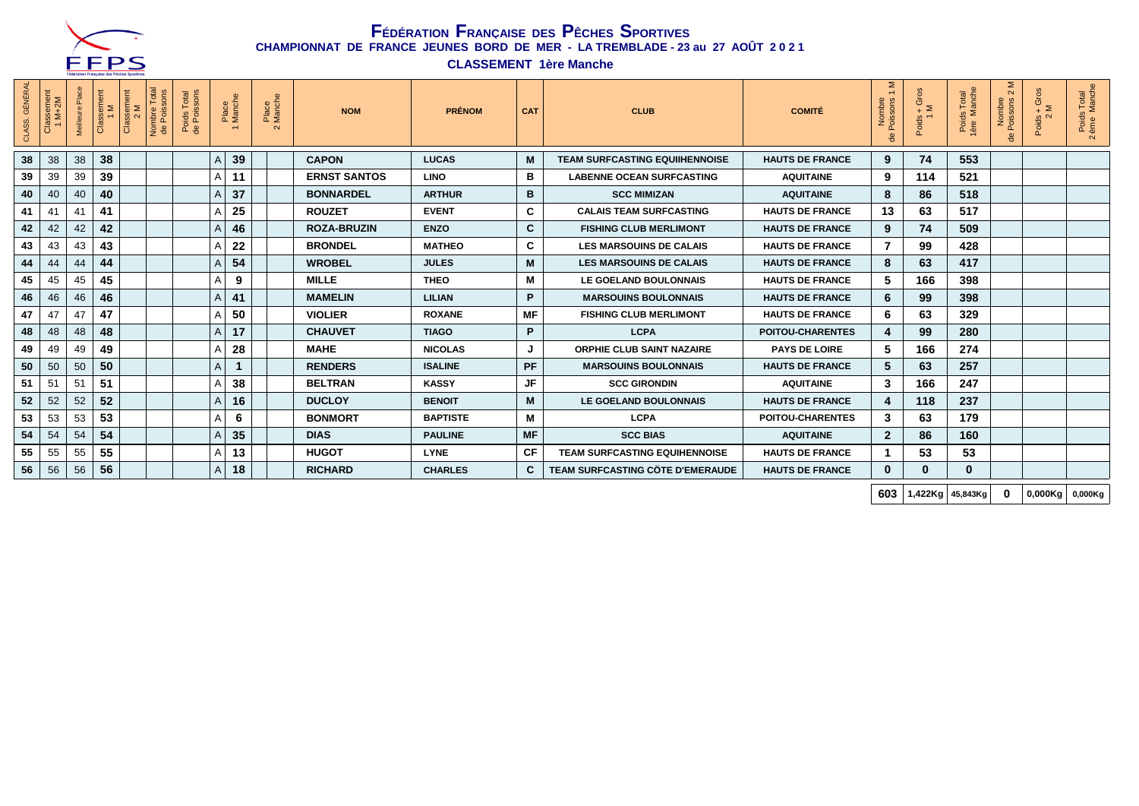

**CLASSEMENT 1ère Manche**

| <b>GÉNÉRAL</b><br>CLASS. | sement<br><i>M</i> +2M<br>Clas<br>$\overline{ }$ | 운<br>Meilleur | Classement<br>1 M | Classement<br>2 M | Nombre Total<br>de Poissons | Poids Total<br>de Poissons | Place<br>Manche   | Place<br>Manche<br>$\sim$ | <b>NOM</b>          | <b>PRÉNOM</b>   | <b>CAT</b> | <b>CLUB</b>                           | <b>COMITÉ</b>           | Σ<br>$\overline{ }$<br>Nombre<br>Poissons | Gros<br>$\frac{6}{4}$ $\geq$<br>Poids - | Is Total<br>Manche<br>Poids<br>1ère M | ⋝<br>$\sim$<br>Nombre<br>Poissons<br>용 | $+$ Gros<br>Poids -<br>2 | Poids Total<br>2 ème Manche |
|--------------------------|--------------------------------------------------|---------------|-------------------|-------------------|-----------------------------|----------------------------|-------------------|---------------------------|---------------------|-----------------|------------|---------------------------------------|-------------------------|-------------------------------------------|-----------------------------------------|---------------------------------------|----------------------------------------|--------------------------|-----------------------------|
| 38                       | 38                                               | 38            | 38                |                   |                             |                            | 39<br>Α           |                           | <b>CAPON</b>        | <b>LUCAS</b>    | M          | <b>TEAM SURFCASTING EQUIIHENNOISE</b> | <b>HAUTS DE FRANCE</b>  | 9                                         | 74                                      | 553                                   |                                        |                          |                             |
| 39                       | 39                                               | 39            | 39                |                   |                             |                            | 11<br>Α           |                           | <b>ERNST SANTOS</b> | <b>LINO</b>     | в          | <b>LABENNE OCEAN SURFCASTING</b>      | <b>AQUITAINE</b>        | 9                                         | 114                                     | 521                                   |                                        |                          |                             |
| 40                       | 40                                               | 40            | 40                |                   |                             |                            | 37<br>Α           |                           | <b>BONNARDEL</b>    | <b>ARTHUR</b>   | B          | <b>SCC MIMIZAN</b>                    | <b>AQUITAINE</b>        | 8                                         | 86                                      | 518                                   |                                        |                          |                             |
| 41                       | 41                                               | 41            | 41                |                   |                             |                            | 25<br>A           |                           | <b>ROUZET</b>       | <b>EVENT</b>    | C          | <b>CALAIS TEAM SURFCASTING</b>        | <b>HAUTS DE FRANCE</b>  | 13                                        | 63                                      | 517                                   |                                        |                          |                             |
| 42                       | 42                                               | 42            | 42                |                   |                             |                            | 46<br>A           |                           | <b>ROZA-BRUZIN</b>  | <b>ENZO</b>     | C          | <b>FISHING CLUB MERLIMONT</b>         | <b>HAUTS DE FRANCE</b>  | 9                                         | 74                                      | 509                                   |                                        |                          |                             |
| 43                       | 43                                               | 43            | 43                |                   |                             |                            | 22<br>A           |                           | <b>BRONDEL</b>      | <b>MATHEO</b>   | C          | <b>LES MARSOUINS DE CALAIS</b>        | <b>HAUTS DE FRANCE</b>  | 7                                         | 99                                      | 428                                   |                                        |                          |                             |
| 44                       | 44                                               | 44            | 44                |                   |                             |                            | 54<br>A           |                           | <b>WROBEL</b>       | <b>JULES</b>    | M          | <b>LES MARSOUINS DE CALAIS</b>        | <b>HAUTS DE FRANCE</b>  | 8                                         | 63                                      | 417                                   |                                        |                          |                             |
| 45                       | 45                                               | 45            | 45                |                   |                             |                            | 9<br>Α            |                           | <b>MILLE</b>        | <b>THEO</b>     | M          | LE GOELAND BOULONNAIS                 | <b>HAUTS DE FRANCE</b>  | 5                                         | 166                                     | 398                                   |                                        |                          |                             |
| 46                       | 46                                               | 46            | 46                |                   |                             |                            | 41<br>A           |                           | <b>MAMELIN</b>      | <b>LILIAN</b>   | P.         | <b>MARSOUINS BOULONNAIS</b>           | <b>HAUTS DE FRANCE</b>  | 6                                         | 99                                      | 398                                   |                                        |                          |                             |
| 47                       | 47                                               | 47            | 47                |                   |                             |                            | 50<br>А           |                           | <b>VIOLIER</b>      | <b>ROXANE</b>   | <b>MF</b>  | <b>FISHING CLUB MERLIMONT</b>         | <b>HAUTS DE FRANCE</b>  | 6                                         | 63                                      | 329                                   |                                        |                          |                             |
| 48                       | 48                                               | 48            | 48                |                   |                             |                            | 17<br>A           |                           | <b>CHAUVET</b>      | <b>TIAGO</b>    | P.         | <b>LCPA</b>                           | <b>POITOU-CHARENTES</b> | 4                                         | 99                                      | 280                                   |                                        |                          |                             |
| 49                       | 49                                               | 49            | 49                |                   |                             |                            | 28<br>A           |                           | <b>MAHE</b>         | <b>NICOLAS</b>  | J          | <b>ORPHIE CLUB SAINT NAZAIRE</b>      | <b>PAYS DE LOIRE</b>    | 5                                         | 166                                     | 274                                   |                                        |                          |                             |
| 50                       | 50                                               | 50            | 50                |                   |                             |                            | A<br>$\mathbf{1}$ |                           | <b>RENDERS</b>      | <b>ISALINE</b>  | <b>PF</b>  | <b>MARSOUINS BOULONNAIS</b>           | <b>HAUTS DE FRANCE</b>  | 5                                         | 63                                      | 257                                   |                                        |                          |                             |
| 51                       | 51                                               | 51            | 51                |                   |                             |                            | 38<br>A           |                           | <b>BELTRAN</b>      | <b>KASSY</b>    | JF         | <b>SCC GIRONDIN</b>                   | <b>AQUITAINE</b>        | 3                                         | 166                                     | 247                                   |                                        |                          |                             |
| 52                       | 52                                               | 52            | 52                |                   |                             |                            | 16<br>Α           |                           | <b>DUCLOY</b>       | <b>BENOIT</b>   | M          | LE GOELAND BOULONNAIS                 | <b>HAUTS DE FRANCE</b>  | 4                                         | 118                                     | 237                                   |                                        |                          |                             |
| 53                       | 53                                               | 53            | 53                |                   |                             |                            | 6<br>Α            |                           | <b>BONMORT</b>      | <b>BAPTISTE</b> | М          | <b>LCPA</b>                           | POITOU-CHARENTES        | 3                                         | 63                                      | 179                                   |                                        |                          |                             |
| 54                       | 54                                               | 54            | 54                |                   |                             |                            | 35<br>Α           |                           | <b>DIAS</b>         | <b>PAULINE</b>  | <b>MF</b>  | <b>SCC BIAS</b>                       | <b>AQUITAINE</b>        | $\overline{2}$                            | 86                                      | 160                                   |                                        |                          |                             |
| 55                       | 55                                               | 55            | 55                |                   |                             |                            | 13<br>Α           |                           | <b>HUGOT</b>        | <b>LYNE</b>     | СF         | <b>TEAM SURFCASTING EQUIHENNOISE</b>  | <b>HAUTS DE FRANCE</b>  | -1                                        | 53                                      | 53                                    |                                        |                          |                             |
| 56                       | 56                                               | 56            | 56                |                   |                             |                            | 18<br>Α           |                           | <b>RICHARD</b>      | <b>CHARLES</b>  | C.         | TEAM SURFCASTING CÖTE D'EMERAUDE      | <b>HAUTS DE FRANCE</b>  | 0                                         | $\mathbf{0}$                            | $\mathbf{0}$                          |                                        |                          |                             |

**603 1,422Kg 45,843Kg 0 0,000Kg 0,000Kg**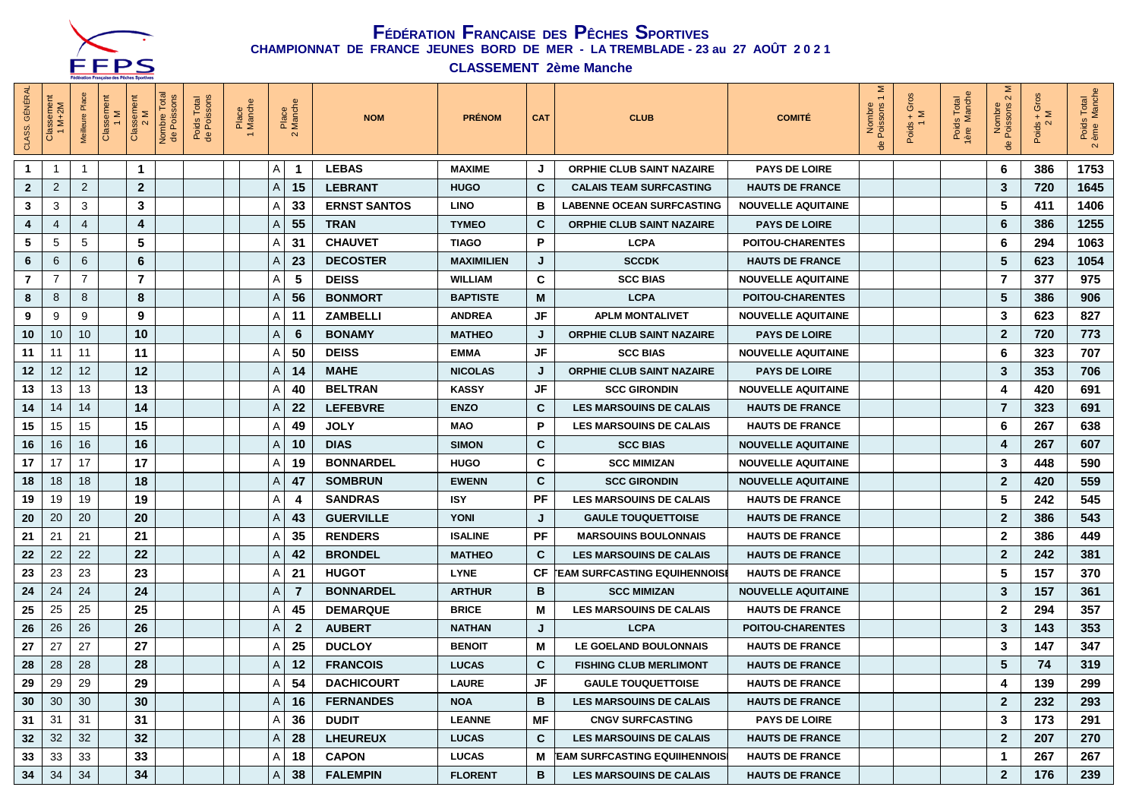

**CLASSEMENT 2ème Manche**

| <b>GÉNÉR/</b><br>CLASS. | Classement<br>$M+2M$ | Classement<br>1 M<br>Meilleure | Classem<br>2 M       | Total<br>Nombre To<br>de Poissor | Poids Total<br>de Poissons | Place<br>Manche |   | Place<br>Manch<br>$\mathbf{\Omega}$ | <b>NOM</b>          | <b>PRÉNOM</b>     | <b>CAT</b>  | <b>CLUB</b>                                 | <b>COMITÉ</b>             | Σ<br>Nombre<br>Poissons<br>용 | $rac{5}{4}$ $\geq$<br>Poids<br>1 | Poids Total<br>1ère Manche<br>Total | $\sim$<br>Nombre<br>Poissons<br>용 | ō<br>$\leq$<br>Poids $\frac{1}{2}$ | s Total<br>Manch<br>Poids<br>ème N<br>$\overline{\mathbf{N}}$ |
|-------------------------|----------------------|--------------------------------|----------------------|----------------------------------|----------------------------|-----------------|---|-------------------------------------|---------------------|-------------------|-------------|---------------------------------------------|---------------------------|------------------------------|----------------------------------|-------------------------------------|-----------------------------------|------------------------------------|---------------------------------------------------------------|
| $\mathbf 1$             | $\mathbf 1$          | $\overline{1}$                 | $\blacktriangleleft$ |                                  |                            |                 | Α | $\overline{\mathbf{1}}$             | <b>LEBAS</b>        | <b>MAXIME</b>     | J           | ORPHIE CLUB SAINT NAZAIRE                   | <b>PAYS DE LOIRE</b>      |                              |                                  |                                     | -6                                | 386                                | 1753                                                          |
| $\mathbf{2}$            | $\overline{2}$       | 2                              | 2 <sup>2</sup>       |                                  |                            |                 | A | 15                                  | <b>LEBRANT</b>      | <b>HUGO</b>       | C           | <b>CALAIS TEAM SURFCASTING</b>              | <b>HAUTS DE FRANCE</b>    |                              |                                  |                                     | $\mathbf{3}$                      | 720                                | 1645                                                          |
| 3                       | 3                    | 3                              | 3                    |                                  |                            |                 | Α | 33                                  | <b>ERNST SANTOS</b> | <b>LINO</b>       | в           | <b>LABENNE OCEAN SURFCASTING</b>            | <b>NOUVELLE AQUITAINE</b> |                              |                                  |                                     | 5                                 | 411                                | 1406                                                          |
| 4                       | 4                    | $\overline{4}$                 | 4                    |                                  |                            |                 | Α | 55                                  | <b>TRAN</b>         | <b>TYMEO</b>      | $\mathbf c$ | <b>ORPHIE CLUB SAINT NAZAIRE</b>            | <b>PAYS DE LOIRE</b>      |                              |                                  |                                     | 6                                 | 386                                | 1255                                                          |
| 5                       | 5                    | 5                              | 5                    |                                  |                            |                 | Α | 31                                  | <b>CHAUVET</b>      | <b>TIAGO</b>      | P           | <b>LCPA</b>                                 | <b>POITOU-CHARENTES</b>   |                              |                                  |                                     | 6                                 | 294                                | 1063                                                          |
| 6                       | 6                    | 6                              | 6                    |                                  |                            |                 | A | 23                                  | <b>DECOSTER</b>     | <b>MAXIMILIEN</b> | J           | <b>SCCDK</b>                                | <b>HAUTS DE FRANCE</b>    |                              |                                  |                                     | 5                                 | 623                                | 1054                                                          |
| $\overline{7}$          | 7                    | $\overline{7}$                 | $\overline{7}$       |                                  |                            |                 | Α | 5                                   | <b>DEISS</b>        | <b>WILLIAM</b>    | C           | <b>SCC BIAS</b>                             | <b>NOUVELLE AQUITAINE</b> |                              |                                  |                                     | $\overline{7}$                    | 377                                | 975                                                           |
| 8                       | 8                    | 8                              | 8                    |                                  |                            |                 | Α | 56                                  | <b>BONMORT</b>      | <b>BAPTISTE</b>   | М           | <b>LCPA</b>                                 | <b>POITOU-CHARENTES</b>   |                              |                                  |                                     | $\overline{\mathbf{5}}$           | 386                                | 906                                                           |
| 9                       | 9                    | 9                              | 9                    |                                  |                            |                 | Α | -11                                 | <b>ZAMBELLI</b>     | <b>ANDREA</b>     | JF          | <b>APLM MONTALIVET</b>                      | <b>NOUVELLE AQUITAINE</b> |                              |                                  |                                     | $\mathbf{3}$                      | 623                                | 827                                                           |
| 10                      | 10                   | 10                             | 10                   |                                  |                            |                 | Α | 6                                   | <b>BONAMY</b>       | <b>MATHEO</b>     | J           | <b>ORPHIE CLUB SAINT NAZAIRE</b>            | <b>PAYS DE LOIRE</b>      |                              |                                  |                                     | $\overline{2}$                    | 720                                | 773                                                           |
| 11                      | 11                   | 11                             | 11                   |                                  |                            |                 | Α | 50                                  | <b>DEISS</b>        | <b>EMMA</b>       | JF          | <b>SCC BIAS</b>                             | <b>NOUVELLE AQUITAINE</b> |                              |                                  |                                     | 6                                 | 323                                | 707                                                           |
| 12                      | 12                   | 12                             | 12                   |                                  |                            |                 | Α | 14                                  | <b>MAHE</b>         | <b>NICOLAS</b>    | J           | <b>ORPHIE CLUB SAINT NAZAIRE</b>            | <b>PAYS DE LOIRE</b>      |                              |                                  |                                     | $\mathbf{3}$                      | 353                                | 706                                                           |
| 13                      | 13                   | 13                             | 13                   |                                  |                            |                 | Α | 40                                  | <b>BELTRAN</b>      | <b>KASSY</b>      | JF          | <b>SCC GIRONDIN</b>                         | <b>NOUVELLE AQUITAINE</b> |                              |                                  |                                     | $\overline{\mathbf{4}}$           | 420                                | 691                                                           |
| 14                      | 14                   | 14                             | 14                   |                                  |                            |                 | A | 22                                  | <b>LEFEBVRE</b>     | <b>ENZO</b>       | $\mathbf c$ | <b>LES MARSOUINS DE CALAIS</b>              | <b>HAUTS DE FRANCE</b>    |                              |                                  |                                     | $\overline{7}$                    | 323                                | 691                                                           |
| 15                      | 15                   | 15                             | 15                   |                                  |                            |                 | A | 49                                  | <b>JOLY</b>         | <b>MAO</b>        | P.          | <b>LES MARSOUINS DE CALAIS</b>              | <b>HAUTS DE FRANCE</b>    |                              |                                  |                                     | 6                                 | 267                                | 638                                                           |
| 16                      | 16                   | 16                             | 16                   |                                  |                            |                 | A | 10                                  | <b>DIAS</b>         | <b>SIMON</b>      | C           | <b>SCC BIAS</b>                             | <b>NOUVELLE AQUITAINE</b> |                              |                                  |                                     | $\overline{\mathbf{4}}$           | 267                                | 607                                                           |
| 17                      | 17                   | 17                             | 17                   |                                  |                            |                 | А | 19                                  | <b>BONNARDEL</b>    | <b>HUGO</b>       | C           | <b>SCC MIMIZAN</b>                          | <b>NOUVELLE AQUITAINE</b> |                              |                                  |                                     | 3                                 | 448                                | 590                                                           |
| 18                      | 18                   | 18                             | 18                   |                                  |                            |                 | А | 47                                  | <b>SOMBRUN</b>      | <b>EWENN</b>      | C           | <b>SCC GIRONDIN</b>                         | <b>NOUVELLE AQUITAINE</b> |                              |                                  |                                     | $\overline{2}$                    | 420                                | 559                                                           |
| 19                      | 19                   | 19                             | 19                   |                                  |                            |                 | Α | $\overline{4}$                      | <b>SANDRAS</b>      | <b>ISY</b>        | PF          | <b>LES MARSOUINS DE CALAIS</b>              | <b>HAUTS DE FRANCE</b>    |                              |                                  |                                     | 5                                 | 242                                | 545                                                           |
| 20                      | 20                   | 20                             | 20                   |                                  |                            |                 | Α | 43                                  | <b>GUERVILLE</b>    | <b>YONI</b>       | J           | <b>GAULE TOUQUETTOISE</b>                   | <b>HAUTS DE FRANCE</b>    |                              |                                  |                                     | $\overline{2}$                    | 386                                | 543                                                           |
| 21                      | 21                   | 21                             | 21                   |                                  |                            |                 | А | 35                                  | <b>RENDERS</b>      | <b>ISALINE</b>    | <b>PF</b>   | <b>MARSOUINS BOULONNAIS</b>                 | <b>HAUTS DE FRANCE</b>    |                              |                                  |                                     | $\mathbf{2}$                      | 386                                | 449                                                           |
| 22                      | 22                   | 22                             | 22                   |                                  |                            |                 | A | 42                                  | <b>BRONDEL</b>      | <b>MATHEO</b>     | C           | <b>LES MARSOUINS DE CALAIS</b>              | <b>HAUTS DE FRANCE</b>    |                              |                                  |                                     | $\overline{2}$                    | 242                                | 381                                                           |
| 23                      | 23                   | 23                             | 23                   |                                  |                            |                 | Α | 21                                  | <b>HUGOT</b>        | <b>LYNE</b>       | CF          | <b><i>TEAM SURFCASTING EQUIHENNOISE</i></b> | <b>HAUTS DE FRANCE</b>    |                              |                                  |                                     | $5\phantom{1}$                    | 157                                | 370                                                           |
| 24                      | 24                   | 24                             | 24                   |                                  |                            |                 | Α | $\overline{7}$                      | <b>BONNARDEL</b>    | <b>ARTHUR</b>     | в           | <b>SCC MIMIZAN</b>                          | <b>NOUVELLE AQUITAINE</b> |                              |                                  |                                     | $\mathbf{3}$                      | 157                                | 361                                                           |
| 25                      | 25                   | 25                             | 25                   |                                  |                            |                 | A | 45                                  | <b>DEMARQUE</b>     | <b>BRICE</b>      | М           | <b>LES MARSOUINS DE CALAIS</b>              | <b>HAUTS DE FRANCE</b>    |                              |                                  |                                     | $\overline{2}$                    | 294                                | 357                                                           |
| 26                      | 26                   | 26                             | 26                   |                                  |                            |                 | A | $\overline{2}$                      | <b>AUBERT</b>       | <b>NATHAN</b>     | J           | <b>LCPA</b>                                 | <b>POITOU-CHARENTES</b>   |                              |                                  |                                     | $\mathbf{3}$                      | 143                                | 353                                                           |
| 27                      | 27                   | 27                             | 27                   |                                  |                            |                 | A | 25                                  | <b>DUCLOY</b>       | <b>BENOIT</b>     | М           | LE GOELAND BOULONNAIS                       | <b>HAUTS DE FRANCE</b>    |                              |                                  |                                     | 3                                 | 147                                | 347                                                           |
| 28                      | 28                   | 28                             | 28                   |                                  |                            |                 | Α | 12                                  | <b>FRANCOIS</b>     | <b>LUCAS</b>      | C           | <b>FISHING CLUB MERLIMONT</b>               | <b>HAUTS DE FRANCE</b>    |                              |                                  |                                     | $5\phantom{1}$                    | 74                                 | 319                                                           |
| 29                      | 29                   | 29                             | 29                   |                                  |                            |                 | Α | 54                                  | <b>DACHICOURT</b>   | <b>LAURE</b>      | JF          | <b>GAULE TOUQUETTOISE</b>                   | <b>HAUTS DE FRANCE</b>    |                              |                                  |                                     | $\overline{\mathbf{4}}$           | 139                                | 299                                                           |
| 30                      | 30                   | 30                             | 30                   |                                  |                            |                 | A | 16                                  | <b>FERNANDES</b>    | <b>NOA</b>        | В           | <b>LES MARSOUINS DE CALAIS</b>              | <b>HAUTS DE FRANCE</b>    |                              |                                  |                                     | $\overline{2}$                    | 232                                | 293                                                           |
| 31                      | 31                   | 31                             | 31                   |                                  |                            |                 | A | 36                                  | <b>DUDIT</b>        | <b>LEANNE</b>     | МF          | <b>CNGV SURFCASTING</b>                     | <b>PAYS DE LOIRE</b>      |                              |                                  |                                     | 3                                 | 173                                | 291                                                           |
| 32                      | 32                   | 32                             | 32                   |                                  |                            |                 | A | 28                                  | <b>LHEUREUX</b>     | <b>LUCAS</b>      | C           | <b>LES MARSOUINS DE CALAIS</b>              | <b>HAUTS DE FRANCE</b>    |                              |                                  |                                     | $\overline{2}$                    | 207                                | 270                                                           |
| 33                      | 33                   | 33                             | 33                   |                                  |                            |                 | A | 18                                  | <b>CAPON</b>        | <b>LUCAS</b>      | М           | <b>EAM SURFCASTING EQUIIHENNOIS</b>         | <b>HAUTS DE FRANCE</b>    |                              |                                  |                                     | $\mathbf 1$                       | 267                                | 267                                                           |
| 34                      | 34                   | 34                             | 34                   |                                  |                            |                 | A | 38                                  | <b>FALEMPIN</b>     | <b>FLORENT</b>    | в           | <b>LES MARSOUINS DE CALAIS</b>              | <b>HAUTS DE FRANCE</b>    |                              |                                  |                                     | $\overline{2}$                    | 176                                | 239                                                           |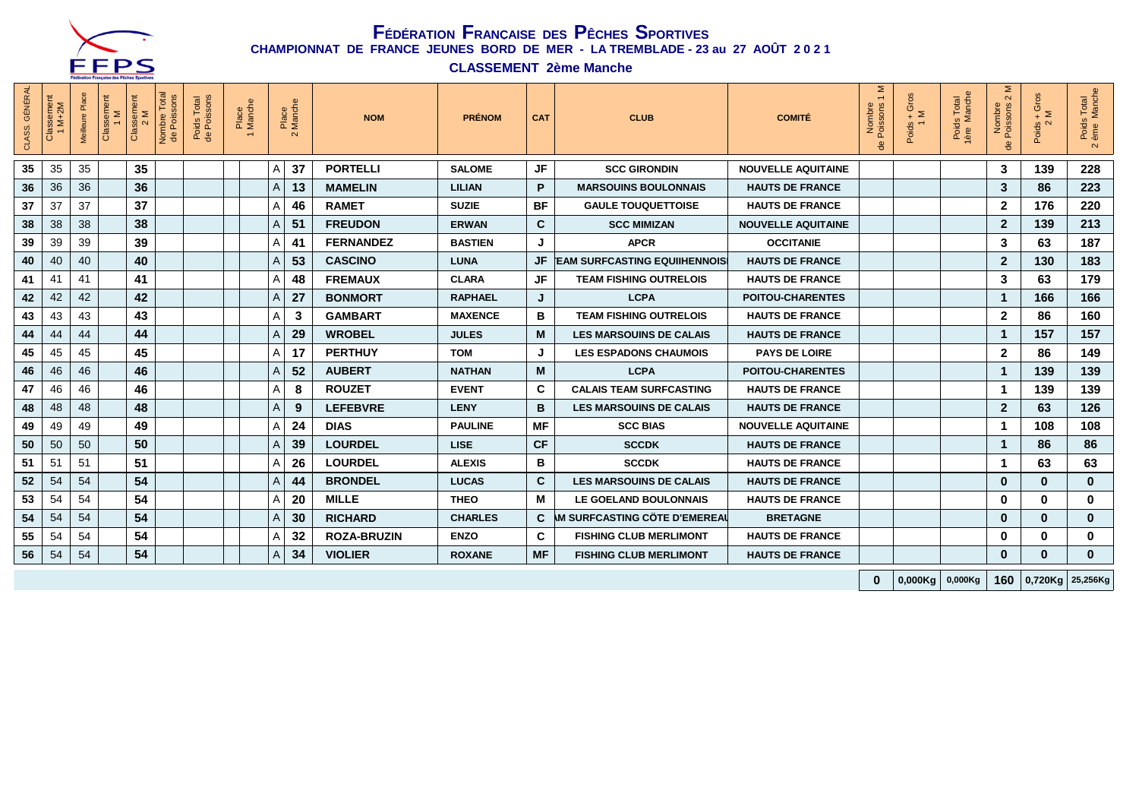

**CLASSEMENT 2ème Manche**

| CLASS. GÉNÉRAL | Classement<br>1 M+2M | Classement<br>1 M<br>Meilleure Pla | Classement<br>2 M | Total<br>Nombre Total<br>de Poissons | Poids Total<br>de Poissons | Place<br>Manche |   | Place<br>Manche<br>$\mathbf{N}$ | <b>NOM</b>         | <b>PRÉNOM</b>  | <b>CAT</b> | <b>CLUB</b>                     | <b>COMITÉ</b>             | Σ<br>Nombre<br>Poissons<br>용 | $+$ Gros<br>Poids<br>1 | Poids Total<br>1ère Manche | Σ<br>$\sim$<br>Nombre<br>Poissons | $+$ Gros<br>Poids $\frac{1}{2}$ | Poids Total<br>2 ème Manche |
|----------------|----------------------|------------------------------------|-------------------|--------------------------------------|----------------------------|-----------------|---|---------------------------------|--------------------|----------------|------------|---------------------------------|---------------------------|------------------------------|------------------------|----------------------------|-----------------------------------|---------------------------------|-----------------------------|
| 35             | 35                   | 35                                 | 35                |                                      |                            |                 | Α | 37                              | <b>PORTELLI</b>    | <b>SALOME</b>  | JF         | <b>SCC GIRONDIN</b>             | <b>NOUVELLE AQUITAINE</b> |                              |                        |                            | 3                                 | 139                             | 228                         |
| 36             | 36                   | 36                                 | 36                |                                      |                            |                 | A | 13                              | <b>MAMELIN</b>     | <b>LILIAN</b>  | P          | <b>MARSOUINS BOULONNAIS</b>     | <b>HAUTS DE FRANCE</b>    |                              |                        |                            | 3                                 | 86                              | 223                         |
| 37             | 37                   | 37                                 | 37                |                                      |                            |                 | Α | 46                              | <b>RAMET</b>       | <b>SUZIE</b>   | BF         | <b>GAULE TOUQUETTOISE</b>       | <b>HAUTS DE FRANCE</b>    |                              |                        |                            | $\mathbf{2}$                      | 176                             | 220                         |
| 38             | 38                   | 38                                 | 38                |                                      |                            |                 | A | 51                              | <b>FREUDON</b>     | <b>ERWAN</b>   | C          | <b>SCC MIMIZAN</b>              | <b>NOUVELLE AQUITAINE</b> |                              |                        |                            | $\overline{2}$                    | 139                             | 213                         |
| 39             | 39                   | 39                                 | 39                |                                      |                            |                 | Α | 41                              | <b>FERNANDEZ</b>   | <b>BASTIEN</b> |            | <b>APCR</b>                     | <b>OCCITANIE</b>          |                              |                        |                            | 3                                 | 63                              | 187                         |
| 40             | 40                   | 40                                 | 40                |                                      |                            |                 | A | 53                              | <b>CASCINO</b>     | <b>LUNA</b>    |            | JF EAM SURFCASTING EQUIIHENNOIS | <b>HAUTS DE FRANCE</b>    |                              |                        |                            | $\mathbf{2}$                      | 130                             | 183                         |
| 41             | 41                   | 41                                 | 41                |                                      |                            |                 | Α | 48                              | <b>FREMAUX</b>     | <b>CLARA</b>   | JF         | <b>TEAM FISHING OUTRELOIS</b>   | <b>HAUTS DE FRANCE</b>    |                              |                        |                            | 3                                 | 63                              | 179                         |
| 42             | 42                   | 42                                 | 42                |                                      |                            |                 | A | 27                              | <b>BONMORT</b>     | <b>RAPHAEL</b> | J          | <b>LCPA</b>                     | <b>POITOU-CHARENTES</b>   |                              |                        |                            | $\mathbf{1}$                      | 166                             | 166                         |
| 43             | 43                   | 43                                 | 43                |                                      |                            |                 | A | 3                               | <b>GAMBART</b>     | <b>MAXENCE</b> | в          | <b>TEAM FISHING OUTRELOIS</b>   | <b>HAUTS DE FRANCE</b>    |                              |                        |                            | $\overline{2}$                    | 86                              | 160                         |
| 44             | 44                   | 44                                 | 44                |                                      |                            |                 | A | 29                              | <b>WROBEL</b>      | <b>JULES</b>   | M          | <b>LES MARSOUINS DE CALAIS</b>  | <b>HAUTS DE FRANCE</b>    |                              |                        |                            | $\mathbf{1}$                      | 157                             | 157                         |
| 45             | 45                   | 45                                 | 45                |                                      |                            |                 | A | 17                              | <b>PERTHUY</b>     | <b>TOM</b>     | J          | <b>LES ESPADONS CHAUMOIS</b>    | <b>PAYS DE LOIRE</b>      |                              |                        |                            | $\overline{2}$                    | 86                              | 149                         |
| 46             | 46                   | 46                                 | 46                |                                      |                            |                 | A | 52                              | <b>AUBERT</b>      | <b>NATHAN</b>  | M          | <b>LCPA</b>                     | <b>POITOU-CHARENTES</b>   |                              |                        |                            | $\mathbf{1}$                      | 139                             | 139                         |
| 47             | 46                   | 46                                 | 46                |                                      |                            |                 | Α | 8                               | <b>ROUZET</b>      | <b>EVENT</b>   | C          | <b>CALAIS TEAM SURFCASTING</b>  | <b>HAUTS DE FRANCE</b>    |                              |                        |                            | $\mathbf 1$                       | 139                             | 139                         |
| 48             | 48                   | 48                                 | 48                |                                      |                            |                 | A | 9                               | <b>LEFEBVRE</b>    | <b>LENY</b>    | В          | <b>LES MARSOUINS DE CALAIS</b>  | <b>HAUTS DE FRANCE</b>    |                              |                        |                            | $\mathbf{2}$                      | 63                              | 126                         |
| 49             | 49                   | 49                                 | 49                |                                      |                            |                 | Α | 24                              | <b>DIAS</b>        | <b>PAULINE</b> | MF         | <b>SCC BIAS</b>                 | <b>NOUVELLE AQUITAINE</b> |                              |                        |                            | $\mathbf 1$                       | 108                             | 108                         |
| 50             | 50                   | 50                                 | 50                |                                      |                            |                 | A | 39                              | <b>LOURDEL</b>     | <b>LISE</b>    | <b>CF</b>  | <b>SCCDK</b>                    | <b>HAUTS DE FRANCE</b>    |                              |                        |                            | $\mathbf{1}$                      | 86                              | 86                          |
| 51             | 51                   | 51                                 | 51                |                                      |                            |                 | Α | 26                              | <b>LOURDEL</b>     | <b>ALEXIS</b>  | в          | <b>SCCDK</b>                    | <b>HAUTS DE FRANCE</b>    |                              |                        |                            | $\mathbf 1$                       | 63                              | 63                          |
| 52             | 54                   | 54                                 | 54                |                                      |                            |                 | A | 44                              | <b>BRONDEL</b>     | <b>LUCAS</b>   | C          | <b>LES MARSOUINS DE CALAIS</b>  | <b>HAUTS DE FRANCE</b>    |                              |                        |                            | $\mathbf{0}$                      | $\mathbf 0$                     | $\mathbf 0$                 |
| 53             | 54                   | 54                                 | 54                |                                      |                            |                 | Α | 20                              | <b>MILLE</b>       | <b>THEO</b>    | М          | LE GOELAND BOULONNAIS           | <b>HAUTS DE FRANCE</b>    |                              |                        |                            | $\bf{0}$                          | $\mathbf{0}$                    | $\mathbf 0$                 |
| 54             | 54                   | 54                                 | 54                |                                      |                            |                 | A | 30                              | <b>RICHARD</b>     | <b>CHARLES</b> |            | C M SURFCASTING CÖTE D'EMEREAU  | <b>BRETAGNE</b>           |                              |                        |                            | $\bf{0}$                          | $\mathbf 0$                     | $\mathbf{0}$                |
| 55             | 54                   | 54                                 | 54                |                                      |                            |                 | Α | 32                              | <b>ROZA-BRUZIN</b> | <b>ENZO</b>    | C          | <b>FISHING CLUB MERLIMONT</b>   | <b>HAUTS DE FRANCE</b>    |                              |                        |                            | 0                                 | $\mathbf 0$                     | $\bf{0}$                    |
| 56             | 54                   | 54                                 | 54                |                                      |                            |                 | A | 34                              | <b>VIOLIER</b>     | <b>ROXANE</b>  | <b>MF</b>  | <b>FISHING CLUB MERLIMONT</b>   | <b>HAUTS DE FRANCE</b>    |                              |                        |                            | $\bf{0}$                          | $\bf{0}$                        | $\mathbf{0}$                |
|                |                      |                                    |                   |                                      |                            |                 |   |                                 |                    |                |            |                                 |                           | $\bf{0}$                     | 0,000Kg                | 0,000Kg                    | 160                               |                                 | 0,720Kg 25,256Kg            |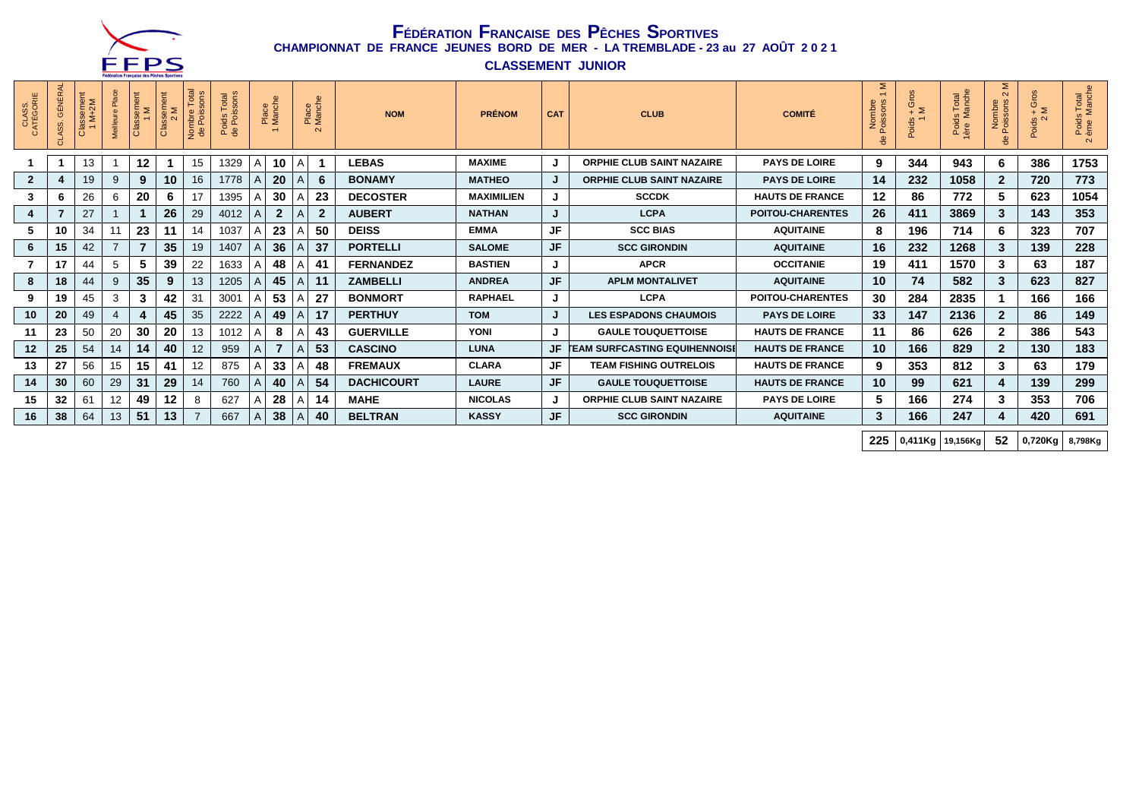

**CLASSEMENT JUNIOR**

| CLASS.<br>CATÉGORIE | <b>GÉNÉRAL</b><br>ASS. | lassement<br>1 M+2M | Meilleure Place | Classement<br>Σ | Classement<br>2 M | $\overline{\mathfrak{G}}$ $\circ$<br>Nombre<br>de Poiss | Total<br>ssons<br>Poids<br>de Pois<br>$\frac{1}{2}$ | Place<br>Manche |                |   | Place<br>Manche<br>$\mathbf{\Omega}$ | <b>NOM</b>        | <b>PRÉNOM</b>     | <b>CAT</b> | <b>CLUB</b>                          | <b>COMITÉ</b>           | Σ<br>$\sim$<br>$\omega$ $\omega$<br>Nombre<br>Poissons | ്റ്<br>$\frac{6}{4}$ $\geq$<br>oids | Total<br>lanche<br>Poids<br>ère Ma | Σ<br>$\sim$<br>Nombre<br>Poissons : | $+$ Gros<br>Poids -<br>2 | Poids Total<br>ème Manche<br>$\sim$ |
|---------------------|------------------------|---------------------|-----------------|-----------------|-------------------|---------------------------------------------------------|-----------------------------------------------------|-----------------|----------------|---|--------------------------------------|-------------------|-------------------|------------|--------------------------------------|-------------------------|--------------------------------------------------------|-------------------------------------|------------------------------------|-------------------------------------|--------------------------|-------------------------------------|
|                     |                        | 13                  |                 | 12              |                   | 15                                                      | 1329                                                | А               | 10             | A |                                      | <b>LEBAS</b>      | <b>MAXIME</b>     | J          | <b>ORPHIE CLUB SAINT NAZAIRE</b>     | <b>PAYS DE LOIRE</b>    | 9                                                      | 344                                 | 943                                | 6                                   | 386                      | 1753                                |
| $\overline{2}$      |                        | 19                  | 9               | 9               | 10                | 16                                                      | 1778                                                |                 | 20             |   | 6                                    | <b>BONAMY</b>     | <b>MATHEO</b>     | J          | <b>ORPHIE CLUB SAINT NAZAIRE</b>     | <b>PAYS DE LOIRE</b>    | 14                                                     | 232                                 | 1058                               | $\overline{2}$                      | 720                      | 773                                 |
| 3                   | 6                      | 26                  | 6               | 20              | 6                 | 17                                                      | 1395                                                |                 | 30             |   | 23                                   | <b>DECOSTER</b>   | <b>MAXIMILIEN</b> | J          | <b>SCCDK</b>                         | <b>HAUTS DE FRANCE</b>  | $12 \,$                                                | 86                                  | 772                                | 5                                   | 623                      | 1054                                |
| 4                   |                        | 27                  |                 |                 | 26                | 29                                                      | 4012                                                |                 | $\mathbf{2}$   |   | $\overline{2}$                       | <b>AUBERT</b>     | <b>NATHAN</b>     | J          | <b>LCPA</b>                          | <b>POITOU-CHARENTES</b> | 26                                                     | 411                                 | 3869                               | 3                                   | 143                      | 353                                 |
| 5                   | 10                     | 34                  | 11              | 23              | 11                | 14                                                      | 1037                                                |                 | 23             |   | 50                                   | <b>DEISS</b>      | <b>EMMA</b>       | JF         | <b>SCC BIAS</b>                      | <b>AQUITAINE</b>        | 8                                                      | 196                                 | 714                                | 6                                   | 323                      | 707                                 |
| 6                   | 15                     | 42                  | $\overline{7}$  | $\overline{7}$  | 35                | 19                                                      | 1407                                                |                 | 36             |   | 37                                   | <b>PORTELLI</b>   | <b>SALOME</b>     | JF         | <b>SCC GIRONDIN</b>                  | <b>AQUITAINE</b>        | 16                                                     | 232                                 | 1268                               | 3                                   | 139                      | 228                                 |
|                     | 17                     | 44                  | 5               | 5               | 39                | 22                                                      | 1633                                                |                 | 48             |   | 41                                   | <b>FERNANDEZ</b>  | <b>BASTIEN</b>    | J          | <b>APCR</b>                          | <b>OCCITANIE</b>        | 19                                                     | 411                                 | 1570                               | 3                                   | 63                       | 187                                 |
| 8                   | 18                     | 44                  | 9               | 35              | 9                 | 13                                                      | 1205                                                |                 | 45             |   | 11                                   | <b>ZAMBELLI</b>   | <b>ANDREA</b>     | JF         | <b>APLM MONTALIVET</b>               | <b>AQUITAINE</b>        | 10                                                     | 74                                  | 582                                | 3                                   | 623                      | 827                                 |
| 9                   | 19                     | 45                  | 3               | 3               | 42                | 31                                                      | 3001                                                |                 | 53             |   | 27                                   | <b>BONMORT</b>    | <b>RAPHAEL</b>    | J          | <b>LCPA</b>                          | <b>POITOU-CHARENTES</b> | 30                                                     | 284                                 | 2835                               |                                     | 166                      | 166                                 |
| 10                  | 20                     | 49                  | $\overline{4}$  | 4               | 45                | 35                                                      | 2222                                                |                 | 49             |   | 17                                   | <b>PERTHUY</b>    | <b>TOM</b>        | J          | <b>LES ESPADONS CHAUMOIS</b>         | <b>PAYS DE LOIRE</b>    | 33                                                     | 147                                 | 2136                               | $\mathbf{2}$                        | 86                       | 149                                 |
| 11                  | 23                     | 50                  | 20              | 30              | 20                | 13                                                      | 1012                                                |                 | 8              |   | 43                                   | <b>GUERVILLE</b>  | <b>YONI</b>       | J          | <b>GAULE TOUQUETTOISE</b>            | <b>HAUTS DE FRANCE</b>  | 11                                                     | 86                                  | 626                                | 2                                   | 386                      | 543                                 |
| 12                  | 25                     | 54                  | 14              | 14              | 40                | 12                                                      | 959                                                 | A               | $\overline{7}$ |   | 53                                   | <b>CASCINO</b>    | <b>LUNA</b>       | JF         | <b>FEAM SURFCASTING EQUIHENNOISE</b> | <b>HAUTS DE FRANCE</b>  | 10                                                     | 166                                 | 829                                |                                     | 130                      | 183                                 |
| 13                  | 27                     | 56                  | 15              | 15              | 41                | 12                                                      | 875                                                 |                 | 33             |   | 48                                   | <b>FREMAUX</b>    | <b>CLARA</b>      | JF         | <b>TEAM FISHING OUTRELOIS</b>        | <b>HAUTS DE FRANCE</b>  | 9                                                      | 353                                 | 812                                | 3                                   | 63                       | 179                                 |
| 14                  | 30                     | 60                  | 29              | 31              | 29                | 14                                                      | 760                                                 |                 | 40             |   | 54                                   | <b>DACHICOURT</b> | <b>LAURE</b>      | JF         | <b>GAULE TOUQUETTOISE</b>            | <b>HAUTS DE FRANCE</b>  | 10                                                     | 99                                  | 621                                |                                     | 139                      | 299                                 |
| 15                  | 32                     | 61                  | 12              | 49              | 12                | 8                                                       | 627                                                 |                 | 28             |   | 14                                   | <b>MAHE</b>       | <b>NICOLAS</b>    | J          | ORPHIE CLUB SAINT NAZAIRE            | <b>PAYS DE LOIRE</b>    | 5                                                      | 166                                 | 274                                | 3                                   | 353                      | 706                                 |
| 16                  | 38                     | 64                  | 13              | 51              | 13                |                                                         | 667                                                 | A               | 38             |   | 40                                   | <b>BELTRAN</b>    | <b>KASSY</b>      | JF         | <b>SCC GIRONDIN</b>                  | <b>AQUITAINE</b>        | $\mathbf{3}$                                           | 166                                 | 247                                |                                     | 420                      | 691                                 |
|                     |                        |                     |                 |                 |                   |                                                         |                                                     |                 |                |   |                                      |                   |                   |            |                                      |                         |                                                        |                                     |                                    |                                     |                          |                                     |

**225 0,411Kg 19,156Kg 52 0,720Kg 8,798Kg**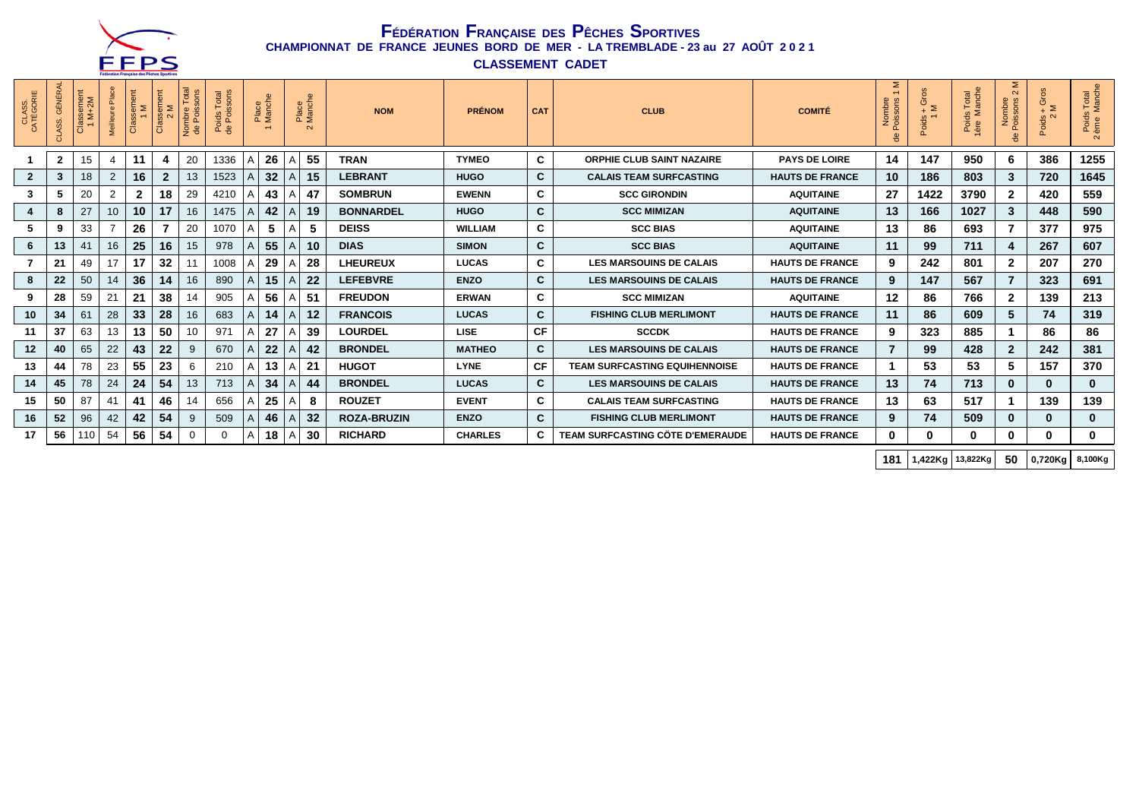

**CLASSEMENT CADET**

| CLASS.<br>CATÉGORIE | <b>GÉNÉRAL</b><br>ASS. | Classement<br>1 M+2M | Place<br>Meilleure I | $\sum_{i=1}^{n}$<br><b>Clas</b> | Classement<br>2 M | Total<br>sons<br>Nombre T<br>de Poisso | Poids Total<br>de Poissons |   | Place<br>Manche |                | Place<br>Manche<br>$\sim$ | <b>NOM</b>         | <b>PRÉNOM</b>  | <b>CAT</b>   | <b>CLUB</b>                             | <b>COMITÉ</b>          | Σ<br>$\overline{ }$<br>Poissons<br>Nombi<br>용 | Gros<br>$\geq$<br>Poids - | Poids Total<br>lère Manche | Σ<br>$\sim$<br>Nombre<br>Poissons<br>유 | $\frac{Poids + Gros}{2 M}$ | s Total<br>Manche<br>Poids<br>ème M<br>$\sim$ |
|---------------------|------------------------|----------------------|----------------------|---------------------------------|-------------------|----------------------------------------|----------------------------|---|-----------------|----------------|---------------------------|--------------------|----------------|--------------|-----------------------------------------|------------------------|-----------------------------------------------|---------------------------|----------------------------|----------------------------------------|----------------------------|-----------------------------------------------|
|                     | $\mathbf{2}$           | 15                   | $\overline{4}$       | 11                              | 4                 | 20                                     | 1336                       | A | 26              | $\overline{A}$ | 55                        | <b>TRAN</b>        | <b>TYMEO</b>   | C            | <b>ORPHIE CLUB SAINT NAZAIRE</b>        | <b>PAYS DE LOIRE</b>   | 14                                            | 147                       | 950                        | 6.                                     | 386                        | 1255                                          |
| $\mathbf{2}$        | 3                      | 18                   | $\overline{2}$       | 16                              | $\overline{2}$    | 13                                     | 1523                       |   | 32              |                | 15                        | <b>LEBRANT</b>     | <b>HUGO</b>    | C.           | <b>CALAIS TEAM SURFCASTING</b>          | <b>HAUTS DE FRANCE</b> | 10                                            | 186                       | 803                        | 3                                      | 720                        | 1645                                          |
| 3                   | đ                      | 20                   | $\overline{2}$       | $\mathbf{2}$                    | 18                | 29                                     | 4210                       |   | 43              |                | 47                        | <b>SOMBRUN</b>     | <b>EWENN</b>   | C            | <b>SCC GIRONDIN</b>                     | <b>AQUITAINE</b>       | 27                                            | 1422                      | 3790                       | $\mathbf{2}$                           | 420                        | 559                                           |
| 4                   | 8                      | 27                   | 10                   | 10 <sup>1</sup>                 | 17                | 16                                     | 1475                       |   | 42              |                | 19                        | <b>BONNARDEL</b>   | <b>HUGO</b>    | C            | <b>SCC MIMIZAN</b>                      | <b>AQUITAINE</b>       | 13                                            | 166                       | 1027                       | 3                                      | 448                        | 590                                           |
|                     | 9                      | 33                   |                      | 26                              |                   | 20                                     | 1070                       |   | 5               |                | 5                         | <b>DEISS</b>       | <b>WILLIAM</b> | C            | <b>SCC BIAS</b>                         | <b>AQUITAINE</b>       | 13                                            | 86                        | 693                        |                                        | 377                        | 975                                           |
| 6                   | 13                     | 41                   | 16                   | 25                              | 16                | 15                                     | 978                        |   | 55              |                | 10                        | <b>DIAS</b>        | <b>SIMON</b>   | $\mathbf{C}$ | <b>SCC BIAS</b>                         | <b>AQUITAINE</b>       | 11                                            | 99                        | 711                        |                                        | 267                        | 607                                           |
|                     | 21                     | 49                   | 17                   | 17                              | 32                | 11                                     | 1008                       |   | 29              |                | 28                        | <b>LHEUREUX</b>    | <b>LUCAS</b>   | C            | <b>LES MARSOUINS DE CALAIS</b>          | <b>HAUTS DE FRANCE</b> | 9                                             | 242                       | 801                        | 2                                      | 207                        | 270                                           |
| 8                   | 22                     | 50                   | 14                   | 36                              | 14                | 16                                     | 890                        | A | 15              |                | 22                        | <b>LEFEBVRE</b>    | <b>ENZO</b>    | C.           | <b>LES MARSOUINS DE CALAIS</b>          | <b>HAUTS DE FRANCE</b> | 9                                             | 147                       | 567                        |                                        | 323                        | 691                                           |
| 9                   | 28                     | 59                   | 21                   | 21                              | 38                | 14                                     | 905                        |   | 56              |                | 51                        | <b>FREUDON</b>     | <b>ERWAN</b>   | C            | <b>SCC MIMIZAN</b>                      | <b>AQUITAINE</b>       | 12                                            | 86                        | 766                        | $\mathbf{2}$                           | 139                        | 213                                           |
| 10                  | 34                     | 61                   | 28                   | 33                              | 28                | 16                                     | 683                        | A | 14              |                | 12                        | <b>FRANCOIS</b>    | <b>LUCAS</b>   | C.           | <b>FISHING CLUB MERLIMONT</b>           | <b>HAUTS DE FRANCE</b> | 11                                            | 86                        | 609                        | 5                                      | 74                         | 319                                           |
| 11                  | 37                     | 63                   | 13                   | 13                              | 50                | 10                                     | 971                        |   | 27              |                | 39                        | <b>LOURDEL</b>     | <b>LISE</b>    | <b>CF</b>    | <b>SCCDK</b>                            | <b>HAUTS DE FRANCE</b> | 9                                             | 323                       | 885                        |                                        | 86                         | 86                                            |
| 12                  | 40                     | 65                   | 22                   | 43                              | 22                | 9                                      | 670                        |   | 22              |                | 42                        | <b>BRONDEL</b>     | <b>MATHEO</b>  | C.           | <b>LES MARSOUINS DE CALAIS</b>          | <b>HAUTS DE FRANCE</b> |                                               | 99                        | 428                        | $\mathbf{2}$                           | 242                        | 381                                           |
| 13                  | 44                     | 78                   | 23                   | 55                              | 23                | 6                                      | 210                        |   | 13              |                | 21                        | <b>HUGOT</b>       | <b>LYNE</b>    | <b>CF</b>    | <b>TEAM SURFCASTING EQUIHENNOISE</b>    | <b>HAUTS DE FRANCE</b> |                                               | 53                        | 53                         | 5                                      | 157                        | 370                                           |
| 14                  | 45                     | 78                   | 24                   | 24                              | 54                | 13                                     | 713                        |   | 34              |                | 44                        | <b>BRONDEL</b>     | <b>LUCAS</b>   | C.           | <b>LES MARSOUINS DE CALAIS</b>          | <b>HAUTS DE FRANCE</b> | 13                                            | 74                        | 713                        |                                        | $\mathbf{0}$               | $\mathbf{0}$                                  |
| 15                  | 50                     | 87                   | 41                   | 41                              | 46                | 14                                     | 656                        |   | 25              |                | 8                         | <b>ROUZET</b>      | <b>EVENT</b>   | C            | <b>CALAIS TEAM SURFCASTING</b>          | <b>HAUTS DE FRANCE</b> | 13                                            | 63                        | 517                        |                                        | 139                        | 139                                           |
| 16                  | 52                     | 96                   | 42                   | 42                              | 54                | 9                                      | 509                        |   | 46              |                | 32                        | <b>ROZA-BRUZIN</b> | <b>ENZO</b>    | C            | <b>FISHING CLUB MERLIMONT</b>           | <b>HAUTS DE FRANCE</b> | 9                                             | 74                        | 509                        | 0                                      | $\bf{0}$                   | $\bf{0}$                                      |
| 17                  | 56                     | 110                  | 54                   | 56                              | 54                | $\Omega$                               | 0                          | A | 18              | $\overline{A}$ | 30                        | <b>RICHARD</b>     | <b>CHARLES</b> | C            | <b>TEAM SURFCASTING CÖTE D'EMERAUDE</b> | <b>HAUTS DE FRANCE</b> | $\mathbf{0}$                                  | 0                         | $\mathbf{0}$               | 0                                      | $\bf{0}$                   | 0                                             |

**181 1,422Kg 13,822Kg 50 0,720Kg 8,100Kg**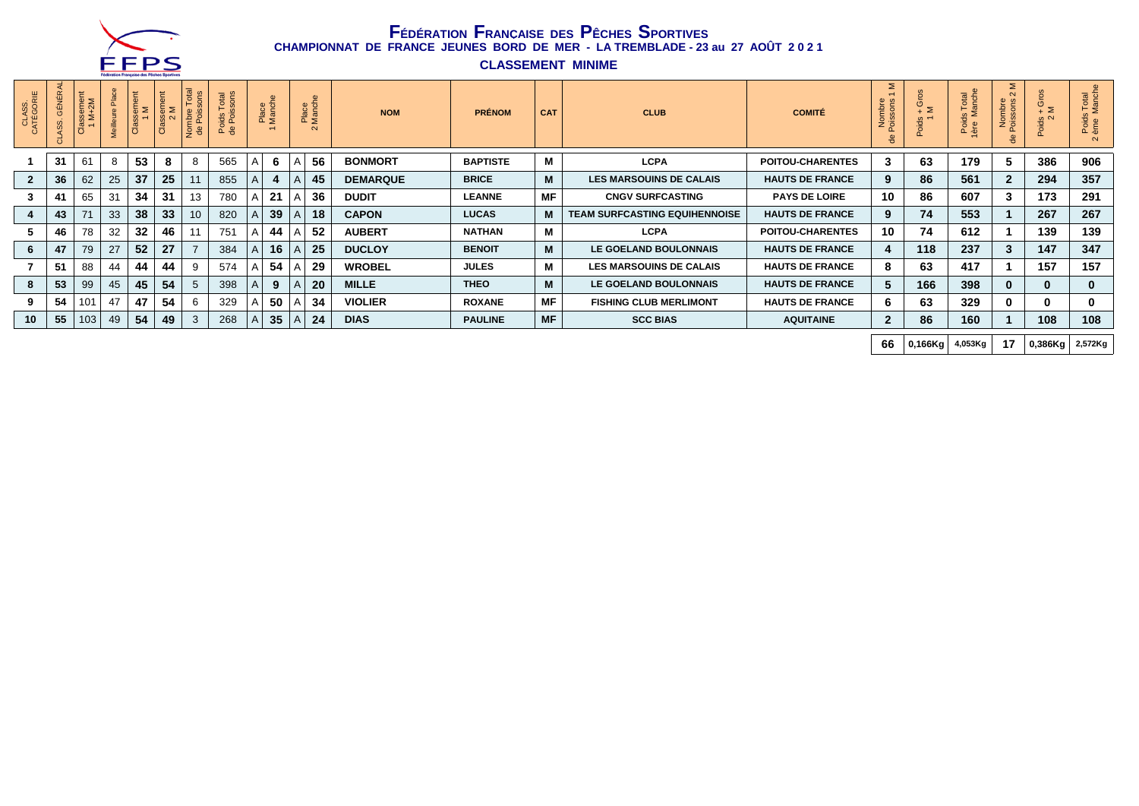

**CLASSEMENT MINIME**

| CLASS.<br>ATÉGORIE | GÉNÉ | emer<br>+2M<br>⊗ ≥ັ |    | Ε<br>$\%$ $-$ | 5 Σ<br>s u<br>ō | otal<br>2C<br>Nombre<br>de Poiss | Total<br>ssons<br>Poids<br>de Poi | Place<br>Manch |   | Place<br>Manche<br>$\sim$ | <b>NOM</b>      | <b>PRÉNOM</b>   | <b>CAT</b> | <b>CLUB</b>                          | <b>COMITÉ</b>           | Σ<br>Nombre<br>Poisson<br>용 | $rac{5}{2}$ | Total<br>anche<br>Poie | Σ<br>$\sim$<br>ons<br>Nombre<br>'Oissons | $+$ Gros<br>Poids -<br>2 | i Total<br>Manche<br>Poids<br>eme<br>$\sim$ |
|--------------------|------|---------------------|----|---------------|-----------------|----------------------------------|-----------------------------------|----------------|---|---------------------------|-----------------|-----------------|------------|--------------------------------------|-------------------------|-----------------------------|-------------|------------------------|------------------------------------------|--------------------------|---------------------------------------------|
|                    | 31   | 61                  | 8  | 53            | 8               |                                  | 565                               | 6              | А | 56                        | <b>BONMORT</b>  | <b>BAPTISTE</b> | М          | <b>LCPA</b>                          | <b>POITOU-CHARENTES</b> | 3                           | 63          | 179                    |                                          | 386                      | 906                                         |
| $\overline{2}$     | 36   | 62                  | 25 | 37            | 25              |                                  | 855                               |                |   | 45                        | <b>DEMARQUE</b> | <b>BRICE</b>    | M          | <b>LES MARSOUINS DE CALAIS</b>       | <b>HAUTS DE FRANCE</b>  | 9                           | 86          | 561                    |                                          | 294                      | 357                                         |
|                    | 41   | 65                  | 31 | 34            | 31              | 13                               | 780                               | 21             | А | 36                        | <b>DUDIT</b>    | <b>LEANNE</b>   | <b>MF</b>  | <b>CNGV SURFCASTING</b>              | <b>PAYS DE LOIRE</b>    | 10                          | 86          | 607                    |                                          | 173                      | 291                                         |
|                    | 43   | 71                  | 33 | 38            | 33              | 10                               | 820                               | 39             |   | 18                        | <b>CAPON</b>    | <b>LUCAS</b>    | M          | <b>TEAM SURFCASTING EQUIHENNOISE</b> | <b>HAUTS DE FRANCE</b>  | 9                           | 74          | 553                    |                                          | 267                      | 267                                         |
|                    | 46   | 78                  | 32 | 32            | 46              |                                  | 751                               | 44             |   | 52                        | <b>AUBERT</b>   | <b>NATHAN</b>   | М          | <b>LCPA</b>                          | <b>POITOU-CHARENTES</b> | 10                          | 74          | 612                    |                                          | 139                      | 139                                         |
| 6                  | 47   | 79                  | 27 | 52            | 27              |                                  | 384                               | 16             |   | 25                        | <b>DUCLOY</b>   | <b>BENOIT</b>   | M          | <b>LE GOELAND BOULONNAIS</b>         | <b>HAUTS DE FRANCE</b>  | 4                           | 118         | 237                    |                                          | 147                      | 347                                         |
|                    | 51   | 88                  | 44 | 44            | 44              |                                  | 574                               | 54             |   | 29                        | <b>WROBEL</b>   | <b>JULES</b>    | М          | <b>LES MARSOUINS DE CALAIS</b>       | <b>HAUTS DE FRANCE</b>  | 8                           | 63          | 417                    |                                          | 157                      | 157                                         |
| 8                  | 53   | 99                  | 45 | 45            | 54              |                                  | 398                               | 9              |   | 20                        | <b>MILLE</b>    | <b>THEO</b>     | M          | LE GOELAND BOULONNAIS                | <b>HAUTS DE FRANCE</b>  | 5                           | 166         | 398                    | $\bf{0}$                                 | $\bf{0}$                 |                                             |
|                    | 54   | 101                 | 47 | 47            | 54              |                                  | 329                               | 50             |   | 34                        | <b>VIOLIER</b>  | <b>ROXANE</b>   | <b>MF</b>  | <b>FISHING CLUB MERLIMONT</b>        | <b>HAUTS DE FRANCE</b>  | 6                           | 63          | 329                    |                                          | 0                        |                                             |
| 10                 | 55   | 103                 | 49 | 54            | 49              | 3                                | 268                               | 35             | A | 24                        | <b>DIAS</b>     | <b>PAULINE</b>  | <b>MF</b>  | <b>SCC BIAS</b>                      | <b>AQUITAINE</b>        | $\mathbf{2}$                | 86          | 160                    |                                          | 108                      | 108                                         |

**66 0,166Kg 4,053Kg 17 0,386Kg 2,572Kg**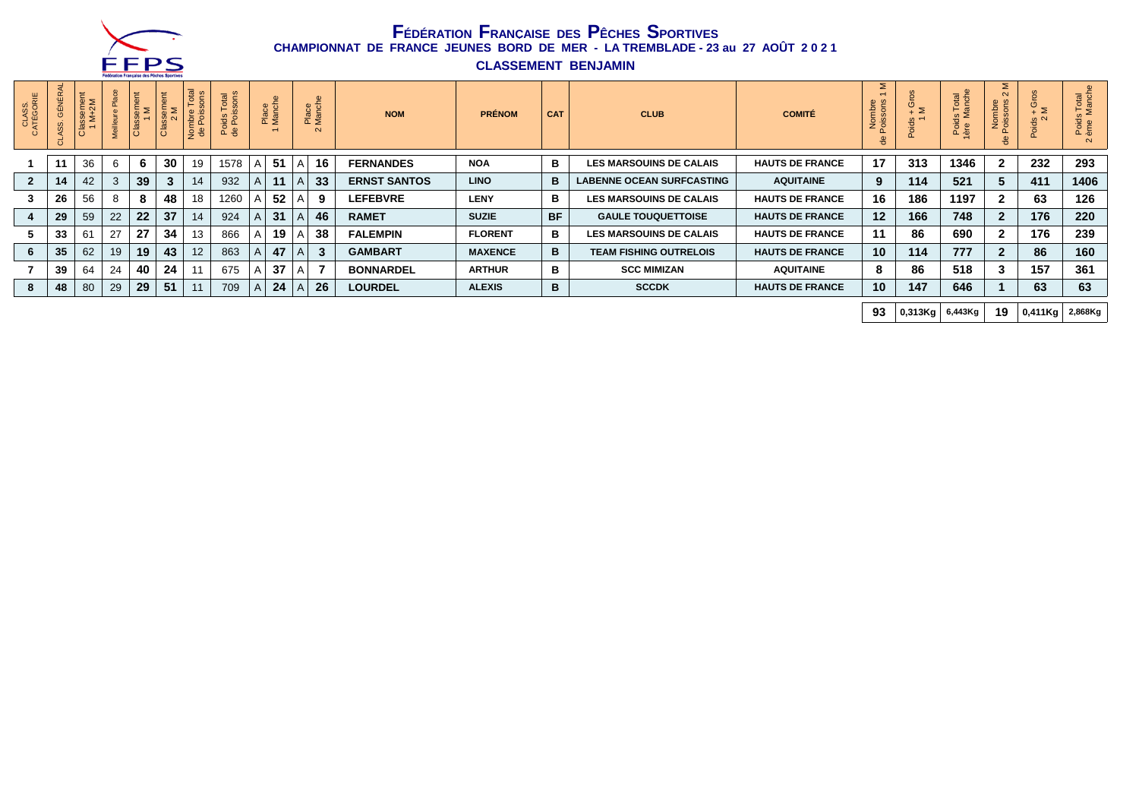

**CLASSEMENT BENJAMIN**

|                    |      |                                |    | <u>Lenn annu Liauðasa nna Leniara ahnistas</u> |                                |                                  |                    |   |                                             |              |                                      |                     |                |            |                                  |                        |                              |               |                                    |                                |                                     |                                                               |
|--------------------|------|--------------------------------|----|------------------------------------------------|--------------------------------|----------------------------------|--------------------|---|---------------------------------------------|--------------|--------------------------------------|---------------------|----------------|------------|----------------------------------|------------------------|------------------------------|---------------|------------------------------------|--------------------------------|-------------------------------------|---------------------------------------------------------------|
| CLASS.<br>ATÉGORIE | ÉNÉI | <b>DE</b><br>2M<br>$rac{1}{2}$ |    | ⊂<br>SS <sub>0</sub><br>ී                      | $\frac{5}{2}$<br>$\frac{a}{c}$ | nbre<br>Pois<br>- 후 <del>명</del> | otal<br>oids<br>PO |   | Place<br>Manche<br>$\overline{\phantom{0}}$ |              | Place<br>Manche<br>$\mathbf{\Omega}$ | <b>NOM</b>          | <b>PRÉNOM</b>  | <b>CAT</b> | <b>CLUB</b>                      | <b>COMITÉ</b>          | Σ<br>Nombre<br>Poissons<br>용 | Σ<br>$\omega$ | Total<br><sup>Ianche</sup><br>Pore | Σ<br>mbre<br>son:<br>së S<br>용 | e<br>–ั ≥<br>$\omega$ $\sim$<br>öio | i Total<br>Manch<br>$\overline{R}$ , $\overline{S}$<br>$\sim$ |
|                    |      | 36                             | 6  | 6                                              | 30 <sup>°</sup>                | 19                               | 1578               |   | 51                                          | A            | 16                                   | <b>FERNANDES</b>    | <b>NOA</b>     | в          | <b>LES MARSOUINS DE CALAIS</b>   | <b>HAUTS DE FRANCE</b> | 17                           | 313           | 1346                               |                                | 232                                 | 293                                                           |
|                    | 14   | 42                             | 3  | 39                                             | 3                              | 14                               | 932                |   | 11                                          |              | 33                                   | <b>ERNST SANTOS</b> | <b>LINO</b>    | в          | <b>LABENNE OCEAN SURFCASTING</b> | <b>AQUITAINE</b>       | 9                            | 114           | 521                                |                                | 411                                 | 1406                                                          |
|                    | 26   | 56                             | 8  | 8                                              | 48                             | 18                               | 1260               |   | 52                                          |              | 9                                    | <b>LEFEBVRE</b>     | <b>LENY</b>    | в          | <b>LES MARSOUINS DE CALAIS</b>   | <b>HAUTS DE FRANCE</b> | 16                           | 186           | 1197                               |                                | 63                                  | 126                                                           |
|                    | 29   | 59                             | 22 | 22                                             | 37                             | 14                               | 924                |   | 31                                          |              | 46                                   | <b>RAMET</b>        | <b>SUZIE</b>   | <b>BF</b>  | <b>GAULE TOUQUETTOISE</b>        | <b>HAUTS DE FRANCE</b> | 12                           | 166           | 748                                |                                | 176                                 | 220                                                           |
|                    | 33   | 61                             | 27 | 27                                             | 34                             | 13                               | 866                |   | 19                                          |              | 38                                   | <b>FALEMPIN</b>     | <b>FLORENT</b> | в          | <b>LES MARSOUINS DE CALAIS</b>   | <b>HAUTS DE FRANCE</b> | 11                           | 86            | 690                                |                                | 176                                 | 239                                                           |
|                    | 35   | 62                             | 19 | 19                                             | 43                             | 12                               | 863                |   | 47                                          |              | $\mathbf{3}$                         | <b>GAMBART</b>      | <b>MAXENCE</b> | в          | <b>TEAM FISHING OUTRELOIS</b>    | <b>HAUTS DE FRANCE</b> | 10                           | 114           | 777                                |                                | 86                                  | 160                                                           |
|                    | 39   | 64                             | 24 | 40                                             | -24                            |                                  | 675                |   | 37                                          | $\mathsf{A}$ |                                      | <b>BONNARDEL</b>    | <b>ARTHUR</b>  | в          | <b>SCC MIMIZAN</b>               | <b>AQUITAINE</b>       | 8                            | 86            | 518                                |                                | 157                                 | 361                                                           |
|                    | 48   | 80                             | 29 | 29                                             | 51                             |                                  | 709                | A | 24                                          |              | 26                                   | <b>LOURDEL</b>      | <b>ALEXIS</b>  | в          | <b>SCCDK</b>                     | <b>HAUTS DE FRANCE</b> | 10                           | 147           | 646                                |                                | 63                                  | 63                                                            |
|                    |      |                                |    |                                                |                                |                                  |                    |   |                                             |              |                                      |                     |                |            |                                  |                        |                              |               |                                    |                                |                                     |                                                               |

**93 0,313Kg 6,443Kg 19 0,411Kg 2,868Kg**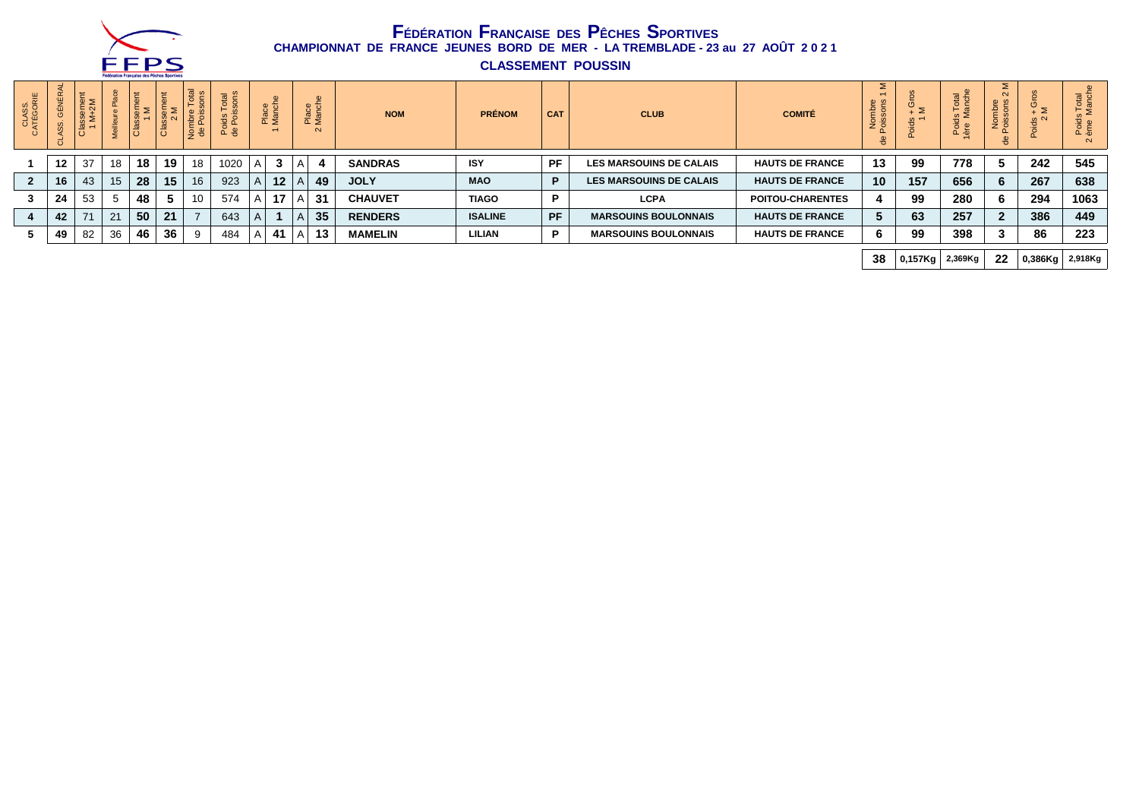

**CLASSEMENT POUSSIN**

|                    |                |                               |    | Lenniques Liquêsse nee Leniere abouture |                                |                    |                     |              |                                                                                     |                                                 |    |                |                |            |                                |                         |                              |     |                      |                                    |                                |                                          |
|--------------------|----------------|-------------------------------|----|-----------------------------------------|--------------------------------|--------------------|---------------------|--------------|-------------------------------------------------------------------------------------|-------------------------------------------------|----|----------------|----------------|------------|--------------------------------|-------------------------|------------------------------|-----|----------------------|------------------------------------|--------------------------------|------------------------------------------|
| CLASS.<br>ATÉGORIE | 戒<br>GÉN<br>SS | Ħ.<br>emer<br>⊗ ≥ັ<br>$\circ$ |    | t<br>$\mathbf{a}$<br>ě                  | こ<br>$\mathbf{a}$<br><u>da</u> | otal<br>$\sqrt{2}$ | otal<br>$E_{\rm B}$ |              | $\bullet$<br>$\overline{\phantom{0}}$<br>Place<br>Manch<br>$\overline{\phantom{0}}$ | $\omega$<br>Place<br>Manch<br>$\mathbf{\Omega}$ |    | <b>NOM</b>     | <b>PRÉNOM</b>  | <b>CAT</b> | <b>CLUB</b>                    | <b>COMITÉ</b>           | Σ<br>Nombre<br>Poissons<br>ᄒ | íΣ  | otal<br>Poie         | ⋝<br>$\sim$<br>Nomb<br>oisso<br>မိ | - ≥<br>$\frac{10}{2}$ $\alpha$ | Total<br>Manch<br>Poid:<br>ème<br>$\sim$ |
|                    | 12             | -37                           | 18 | 18                                      | 19                             | 18                 | 1020                | A            | 3                                                                                   |                                                 |    | <b>SANDRAS</b> | <b>ISY</b>     | PF         | <b>LES MARSOUINS DE CALAIS</b> | <b>HAUTS DE FRANCE</b>  | 13                           | 99  | 778                  |                                    | 242                            | 545                                      |
| $\overline{2}$     | 16             | 43                            | 15 | 28                                      | 15                             | 16                 | 923                 | $\mathsf{A}$ | 12                                                                                  |                                                 | 49 | <b>JOLY</b>    | <b>MAO</b>     | P          | <b>LES MARSOUINS DE CALAIS</b> | <b>HAUTS DE FRANCE</b>  | 10                           | 157 | 656                  |                                    | 267                            | 638                                      |
|                    | 24             | 53                            | 5  | 48                                      | 5                              | 10                 | 574                 |              | 17<br>AΙ                                                                            | -31                                             |    | <b>CHAUVET</b> | <b>TIAGO</b>   | D          | <b>LCPA</b>                    | <b>POITOU-CHARENTES</b> |                              | 99  | 280                  |                                    | 294                            | 1063                                     |
|                    | 42             | 71                            | 21 | 50                                      | 21                             |                    | 643                 | A.           |                                                                                     |                                                 | 35 | <b>RENDERS</b> | <b>ISALINE</b> | <b>PF</b>  | <b>MARSOUINS BOULONNAIS</b>    | <b>HAUTS DE FRANCE</b>  |                              | 63  | 257                  |                                    | 386                            | 449                                      |
|                    | 49             | 82                            | 36 | 46                                      | 36                             |                    | 484                 | A            | 41                                                                                  |                                                 | 13 | <b>MAMELIN</b> | <b>LILIAN</b>  | P          | <b>MARSOUINS BOULONNAIS</b>    | <b>HAUTS DE FRANCE</b>  |                              | 99  | 398                  |                                    | 86                             | 223                                      |
|                    |                |                               |    |                                         |                                |                    |                     |              |                                                                                     |                                                 |    |                |                |            |                                |                         |                              |     |                      |                                    |                                |                                          |
|                    |                |                               |    |                                         |                                |                    |                     |              |                                                                                     |                                                 |    |                |                |            |                                |                         | 38                           |     | $0,157$ Kg   2,369Kg | 22                                 | $ 0,386$ Kg $ 2,918$ Kg        |                                          |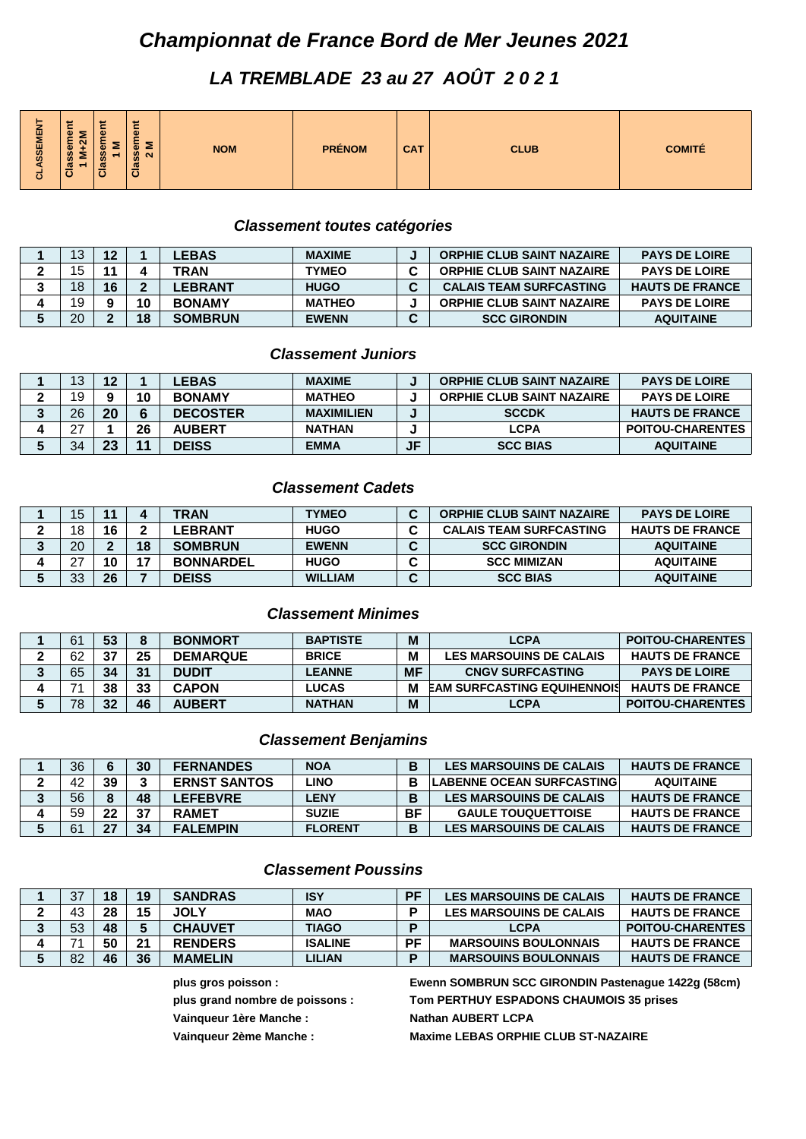# *Championnat de France Bord de Mer Jeunes 2021*

# *LA TREMBLADE 23 au 27 AOÛT 2 0 2 1*

| -<br>ASSEMEN<br>$\mathbf{a}$<br><b>n</b><br>$\overline{\phantom{a}}$<br><b>PRÉNOM</b><br><b>CAT</b><br><b>NOM</b><br>$\omega$<br>⋍<br>œ<br>œ<br>-<br>SS <sub>0</sub><br>-<br>u<br><b>m</b><br>w<br>w<br>$\overline{\phantom{a}}$<br>-<br>ಕ | <b>COMITÉ</b><br><b>CLUB</b> |
|--------------------------------------------------------------------------------------------------------------------------------------------------------------------------------------------------------------------------------------------|------------------------------|
|--------------------------------------------------------------------------------------------------------------------------------------------------------------------------------------------------------------------------------------------|------------------------------|

### *Classement toutes catégories*

| 3  | 12 |    | <b>LEBAS</b>   | <b>MAXIME</b> |   | <b>ORPHIE CLUB SAINT NAZAIRE</b> | <b>PAYS DE LOIRE</b>   |
|----|----|----|----------------|---------------|---|----------------------------------|------------------------|
| 5  | 44 |    | TRAN           | TYMEO         | ⌒ | <b>ORPHIE CLUB SAINT NAZAIRE</b> | <b>PAYS DE LOIRE</b>   |
| 8  | 16 | ◠  | <b>LEBRANT</b> | <b>HUGO</b>   |   | <b>CALAIS TEAM SURFCASTING</b>   | <b>HAUTS DE FRANCE</b> |
| ۱9 |    | 10 | <b>BONAMY</b>  | <b>MATHEO</b> |   | <b>ORPHIE CLUB SAINT NAZAIRE</b> | <b>PAYS DE LOIRE</b>   |
| 20 |    | 18 | <b>SOMBRUN</b> | <b>EWENN</b>  | ື | <b>SCC GIRONDIN</b>              | <b>AQUITAINE</b>       |

### *Classement Juniors*

| 12 | 12 |                | LEBAS           | <b>MAXIME</b>     |           | <b>ORPHIE CLUB SAINT NAZAIRE</b> | <b>PAYS DE LOIRE</b>    |
|----|----|----------------|-----------------|-------------------|-----------|----------------------------------|-------------------------|
| 19 |    | 10             | <b>BONAMY</b>   | <b>MATHEO</b>     |           | <b>ORPHIE CLUB SAINT NAZAIRE</b> | <b>PAYS DE LOIRE</b>    |
| 26 | 20 |                | <b>DECOSTER</b> | <b>MAXIMILIEN</b> |           | <b>SCCDK</b>                     | <b>HAUTS DE FRANCE</b>  |
| ົ  |    | 26             | <b>AUBERT</b>   | <b>NATHAN</b>     |           | <b>LCPA</b>                      | <b>POITOU-CHARENTES</b> |
| 34 | 23 | $\overline{A}$ | <b>DEISS</b>    | <b>EMMA</b>       | <b>JF</b> | <b>SCC BIAS</b>                  | <b>AQUITAINE</b>        |

### *Classement Cadets*

| 15        |    |    | TRAN             | <b>TYMEO</b>   | <b>ORPHIE CLUB SAINT NAZAIRE</b> | <b>PAYS DE LOIRE</b>   |
|-----------|----|----|------------------|----------------|----------------------------------|------------------------|
| 18        | 16 |    | <b>_EBRANT</b>   | <b>HUGO</b>    | <b>CALAIS TEAM SURFCASTING</b>   | <b>HAUTS DE FRANCE</b> |
| ററ        |    | 18 | <b>SOMBRUN</b>   | <b>EWENN</b>   | <b>SCC GIRONDIN</b>              | <b>AQUITAINE</b>       |
| $\sim$    | n  | -- | <b>BONNARDEL</b> | <b>HUGO</b>    | <b>SCC MIMIZAN</b>               | <b>AQUITAINE</b>       |
| ົດລ<br>vu | 26 |    | <b>DEISS</b>     | <b>WILLIAM</b> | <b>SCC BIAS</b>                  | <b>AQUITAINE</b>       |

### *Classement Minimes*

| 61 | 53 |    | <b>BONMORT</b>  | <b>BAPTISTE</b> | M         | <b>LCPA</b>                        | <b>POITOU-CHARENTES</b> |
|----|----|----|-----------------|-----------------|-----------|------------------------------------|-------------------------|
| ഹ  | דפ | 25 | <b>DEMARQUE</b> | <b>BRICE</b>    | M         | <b>LES MARSOUINS DE CALAIS</b>     | <b>HAUTS DE FRANCE</b>  |
| 65 | 34 | 31 | <b>DUDIT</b>    | <b>LEANNE</b>   | <b>MF</b> | <b>CNGV SURFCASTING</b>            | <b>PAYS DE LOIRE</b>    |
|    | 38 | 33 | <b>CAPON</b>    | <b>LUCAS</b>    | M         | <b>EAM SURFCASTING EQUIHENNOIS</b> | <b>HAUTS DE FRANCE</b>  |
| 78 | つつ | 46 | <b>AUBERT</b>   | <b>NATHAN</b>   | M         | LCPA                               | <b>POITOU-CHARENTES</b> |

### *Classement Benjamins*

| 36             |    | 30 | <b>FERNANDES</b>    | <b>NOA</b>     | в<br>D    | <b>LES MARSOUINS DE CALAIS</b>   | <b>HAUTS DE FRANCE</b> |
|----------------|----|----|---------------------|----------------|-----------|----------------------------------|------------------------|
| 42             | 39 |    | <b>ERNST SANTOS</b> | ∟INO           | в         | <b>LABENNE OCEAN SURFCASTING</b> | <b>AQUITAINE</b>       |
| 56             |    | 48 | <b>LEFEBVRE</b>     | LENY           | В         | <b>LES MARSOUINS DE CALAIS</b>   | <b>HAUTS DE FRANCE</b> |
| 59             | ^^ | 37 | <b>RAMET</b>        | <b>SUZIE</b>   | <b>BF</b> | <b>GAULE TOUQUETTOISE</b>        | <b>HAUTS DE FRANCE</b> |
| C <sub>1</sub> |    | 34 | <b>FALEMPIN</b>     | <b>FLORENT</b> | В         | <b>LES MARSOUINS DE CALAIS</b>   | <b>HAUTS DE FRANCE</b> |

#### *Classement Poussins*

| 27             | 18 | 19       | <b>SANDRAS</b> | ISY            | DE | <b>LES MARSOUINS DE CALAIS</b> | <b>HAUTS DE FRANCE</b>  |
|----------------|----|----------|----------------|----------------|----|--------------------------------|-------------------------|
| 43             | 28 | 15<br>IJ | <b>JOLY</b>    | MAO            |    | <b>LES MARSOUINS DE CALAIS</b> | <b>HAUTS DE FRANCE</b>  |
| <b>ΓΩ</b><br>ິ | 48 |          | <b>CHAUVET</b> | TIAGO          | D  | <b>LCPA</b>                    | <b>POITOU-CHARENTES</b> |
|                | 50 | 21       | <b>RENDERS</b> | <b>ISALINE</b> | PF | <b>MARSOUINS BOULONNAIS</b>    | <b>HAUTS DE FRANCE</b>  |
| 82             | 46 | 36       | <b>MAMELIN</b> | LILIAN.        | в  | <b>MARSOUINS BOULONNAIS</b>    | <b>HAUTS DE FRANCE</b>  |

Vainqueur 1ère Manche : Nathan AUBERT LCPA

**plus gros poisson : Ewenn SOMBRUN SCC GIRONDIN Pastenague 1422g (58cm) plus grand nombre de poissons : Tom PERTHUY ESPADONS CHAUMOIS 35 prises** Vainqueur 2ème Manche : Maxime LEBAS ORPHIE CLUB ST-NAZAIRE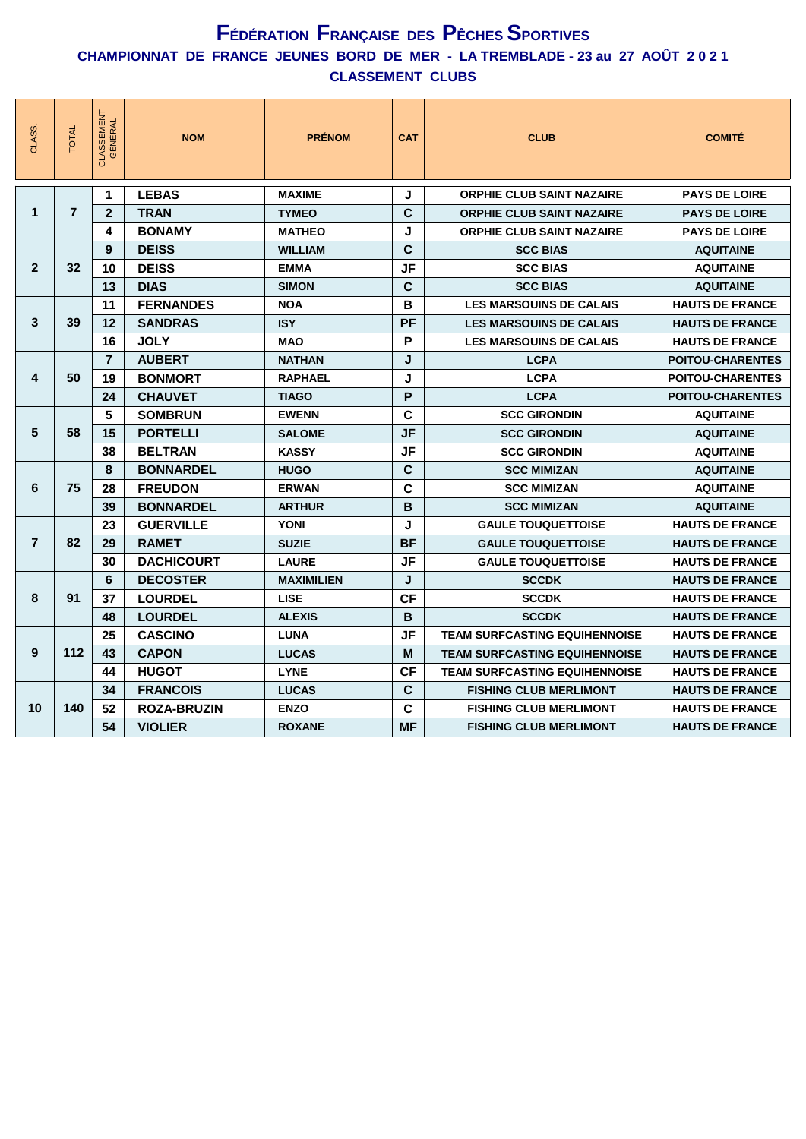| CLASS.         | <b>TOTAL</b>   | <b>CLASSEMENT</b><br>GÉNÉRAL | <b>NOM</b>         | <b>PRÉNOM</b>     | <b>CAT</b>  | <b>CLUB</b>                          | <b>COMITÉ</b>           |
|----------------|----------------|------------------------------|--------------------|-------------------|-------------|--------------------------------------|-------------------------|
|                |                | 1                            | <b>LEBAS</b>       | <b>MAXIME</b>     | J           | <b>ORPHIE CLUB SAINT NAZAIRE</b>     | <b>PAYS DE LOIRE</b>    |
| 1              | $\overline{7}$ | $\mathbf{2}$                 | <b>TRAN</b>        | <b>TYMEO</b>      | $\mathbf c$ | <b>ORPHIE CLUB SAINT NAZAIRE</b>     | <b>PAYS DE LOIRE</b>    |
|                |                | 4                            | <b>BONAMY</b>      | <b>MATHEO</b>     | J           | <b>ORPHIE CLUB SAINT NAZAIRE</b>     | <b>PAYS DE LOIRE</b>    |
|                |                | 9                            | <b>DEISS</b>       | <b>WILLIAM</b>    | $\mathbf c$ | <b>SCC BIAS</b>                      | <b>AQUITAINE</b>        |
| $\mathbf{2}$   | 32             | 10                           | <b>DEISS</b>       | <b>EMMA</b>       | <b>JF</b>   | <b>SCC BIAS</b>                      | <b>AQUITAINE</b>        |
|                |                | 13                           | <b>DIAS</b>        | <b>SIMON</b>      | $\mathbf c$ | <b>SCC BIAS</b>                      | <b>AQUITAINE</b>        |
|                |                | 11                           | <b>FERNANDES</b>   | <b>NOA</b>        | B           | <b>LES MARSOUINS DE CALAIS</b>       | <b>HAUTS DE FRANCE</b>  |
| 3              | 39             | 12                           | <b>SANDRAS</b>     | <b>ISY</b>        | PF          | <b>LES MARSOUINS DE CALAIS</b>       | <b>HAUTS DE FRANCE</b>  |
|                |                | 16                           | <b>JOLY</b>        | <b>MAO</b>        | P           | <b>LES MARSOUINS DE CALAIS</b>       | <b>HAUTS DE FRANCE</b>  |
|                |                | $\overline{7}$               | <b>AUBERT</b>      | <b>NATHAN</b>     | J           | <b>LCPA</b>                          | <b>POITOU-CHARENTES</b> |
| 4              | 50             | 19                           | <b>BONMORT</b>     | <b>RAPHAEL</b>    | J           | <b>LCPA</b>                          | <b>POITOU-CHARENTES</b> |
|                |                | 24                           | <b>CHAUVET</b>     | <b>TIAGO</b>      | P           | <b>LCPA</b>                          | <b>POITOU-CHARENTES</b> |
|                |                | 5                            | <b>SOMBRUN</b>     | <b>EWENN</b>      | $\mathbf c$ | <b>SCC GIRONDIN</b>                  | <b>AQUITAINE</b>        |
| 5              | 58             | 15                           | <b>PORTELLI</b>    | <b>SALOME</b>     | <b>JF</b>   | <b>SCC GIRONDIN</b>                  | <b>AQUITAINE</b>        |
|                |                | 38                           | <b>BELTRAN</b>     | <b>KASSY</b>      | <b>JF</b>   | <b>SCC GIRONDIN</b>                  | <b>AQUITAINE</b>        |
|                |                | 8                            | <b>BONNARDEL</b>   | <b>HUGO</b>       | $\mathbf c$ | <b>SCC MIMIZAN</b>                   | <b>AQUITAINE</b>        |
| 6              | 75             | 28                           | <b>FREUDON</b>     | <b>ERWAN</b>      | $\mathbf c$ | <b>SCC MIMIZAN</b>                   | <b>AQUITAINE</b>        |
|                |                | 39                           | <b>BONNARDEL</b>   | <b>ARTHUR</b>     | B           | <b>SCC MIMIZAN</b>                   | <b>AQUITAINE</b>        |
|                |                | 23                           | <b>GUERVILLE</b>   | <b>YONI</b>       | J           | <b>GAULE TOUQUETTOISE</b>            | <b>HAUTS DE FRANCE</b>  |
| $\overline{7}$ | 82             | 29                           | <b>RAMET</b>       | <b>SUZIE</b>      | <b>BF</b>   | <b>GAULE TOUQUETTOISE</b>            | <b>HAUTS DE FRANCE</b>  |
|                |                | 30                           | <b>DACHICOURT</b>  | <b>LAURE</b>      | <b>JF</b>   | <b>GAULE TOUQUETTOISE</b>            | <b>HAUTS DE FRANCE</b>  |
|                |                | 6                            | <b>DECOSTER</b>    | <b>MAXIMILIEN</b> | J           | <b>SCCDK</b>                         | <b>HAUTS DE FRANCE</b>  |
| 8              | 91             | 37                           | <b>LOURDEL</b>     | <b>LISE</b>       | <b>CF</b>   | <b>SCCDK</b>                         | <b>HAUTS DE FRANCE</b>  |
|                |                | 48                           | <b>LOURDEL</b>     | <b>ALEXIS</b>     | B           | <b>SCCDK</b>                         | <b>HAUTS DE FRANCE</b>  |
|                |                | 25                           | <b>CASCINO</b>     | <b>LUNA</b>       | <b>JF</b>   | <b>TEAM SURFCASTING EQUIHENNOISE</b> | <b>HAUTS DE FRANCE</b>  |
| 9              | 112            | 43                           | <b>CAPON</b>       | <b>LUCAS</b>      | M           | <b>TEAM SURFCASTING EQUIHENNOISE</b> | <b>HAUTS DE FRANCE</b>  |
|                |                | 44                           | <b>HUGOT</b>       | <b>LYNE</b>       | <b>CF</b>   | <b>TEAM SURFCASTING EQUIHENNOISE</b> | <b>HAUTS DE FRANCE</b>  |
|                |                | 34                           | <b>FRANCOIS</b>    | <b>LUCAS</b>      | $\mathbf c$ | <b>FISHING CLUB MERLIMONT</b>        | <b>HAUTS DE FRANCE</b>  |
| 10             | 140            | 52                           | <b>ROZA-BRUZIN</b> | <b>ENZO</b>       | $\mathbf c$ | <b>FISHING CLUB MERLIMONT</b>        | <b>HAUTS DE FRANCE</b>  |
|                |                | 54                           | <b>VIOLIER</b>     | <b>ROXANE</b>     | MF          | <b>FISHING CLUB MERLIMONT</b>        | <b>HAUTS DE FRANCE</b>  |